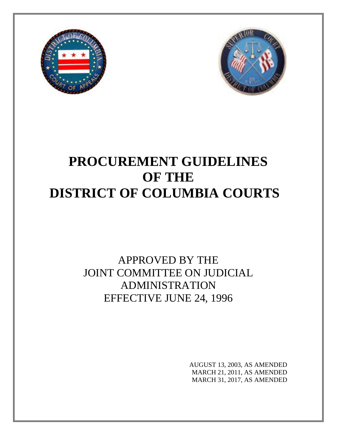



# **PROCUREMENT GUIDELINES OF THE DISTRICT OF COLUMBIA COURTS**

## APPROVED BY THE JOINT COMMITTEE ON JUDICIAL ADMINISTRATION EFFECTIVE JUNE 24, 1996

AUGUST 13, 2003, AS AMENDED MARCH 21, 2011, AS AMENDED MARCH 31, 2017, AS AMENDED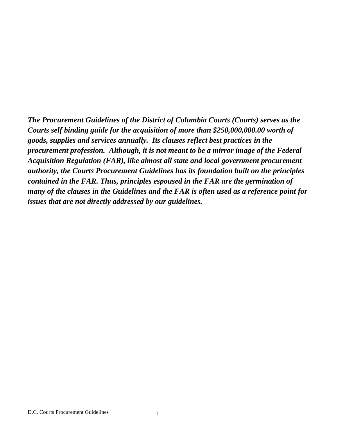*The Procurement Guidelines of the District of Columbia Courts (Courts) serves as the Courts self binding guide for the acquisition of more than \$250,000,000.00 worth of goods, supplies and services annually. Its clauses reflect best practices in the procurement profession. Although, it is not meant to be a mirror image of the Federal Acquisition Regulation (FAR), like almost all state and local government procurement authority, the Courts Procurement Guidelines has its foundation built on the principles contained in the FAR. Thus, principles espoused in the FAR are the germination of many of the clauses in the Guidelines and the FAR is often used as a reference point for issues that are not directly addressed by our guidelines.*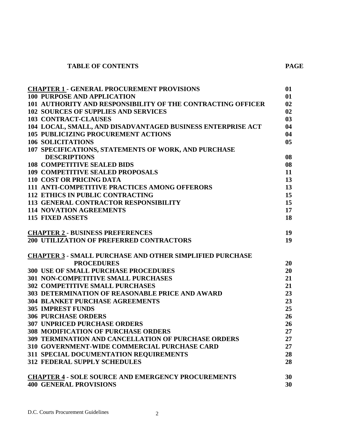#### **TABLE OF CONTENTS PAGE**

| <b>CHAPTER 1 - GENERAL PROCUREMENT PROVISIONS</b>               | 01 |
|-----------------------------------------------------------------|----|
| <b>100 PURPOSE AND APPLICATION</b>                              | 01 |
| 101 AUTHORITY AND RESPONSIBILITY OF THE CONTRACTING OFFICER     | 02 |
| <b>102 SOURCES OF SUPPLIES AND SERVICES</b>                     | 02 |
| <b>103 CONTRACT-CLAUSES</b>                                     | 03 |
| 104 LOCAL, SMALL, AND DISADVANTAGED BUSINESS ENTERPRISE ACT     | 04 |
| <b>105 PUBLICIZING PROCUREMENT ACTIONS</b>                      | 04 |
| 106 SOLICITATIONS                                               | 05 |
| 107 SPECIFICATIONS, STATEMENTS OF WORK, AND PURCHASE            |    |
| <b>DESCRIPTIONS</b>                                             | 08 |
| <b>108 COMPETITIVE SEALED BIDS</b>                              | 08 |
| <b>109 COMPETITIVE SEALED PROPOSALS</b>                         | 11 |
| <b>110 COST OR PRICING DATA</b>                                 | 13 |
| <b>111 ANTI-COMPETITIVE PRACTICES AMONG OFFERORS</b>            | 13 |
| <b>112 ETHICS IN PUBLIC CONTRACTING</b>                         | 15 |
| <b>113 GENERAL CONTRACTOR RESPONSIBILITY</b>                    | 15 |
| <b>114 NOVATION AGREEMENTS</b>                                  | 17 |
| <b>115 FIXED ASSETS</b>                                         | 18 |
|                                                                 |    |
| <b>CHAPTER 2 - BUSINESS PREFERENCES</b>                         | 19 |
| <b>200 UTILIZATION OF PREFERRED CONTRACTORS</b>                 | 19 |
|                                                                 |    |
| <b>CHAPTER 3 - SMALL PURCHASE AND OTHER SIMPLIFIED PURCHASE</b> |    |
| <b>PROCEDURES</b>                                               | 20 |
| <b>300 USE OF SMALL PURCHASE PROCEDURES</b>                     | 20 |
| <b>301 NON-COMPETITIVE SMALL PURCHASES</b>                      | 21 |
| <b>302 COMPETITIVE SMALL PURCHASES</b>                          | 21 |
| <b>303 DETERMINATION OF REASONABLE PRICE AND AWARD</b>          | 23 |
| <b>304 BLANKET PURCHASE AGREEMENTS</b>                          | 23 |
| <b>305 IMPREST FUNDS</b>                                        | 25 |
| <b>306 PURCHASE ORDERS</b>                                      | 26 |
| <b>307 UNPRICED PURCHASE ORDERS</b>                             | 26 |
| <b>308 MODIFICATION OF PURCHASE ORDERS</b>                      | 27 |
| <b>309 TERMINATION AND CANCELLATION OF PURCHASE ORDERS</b>      | 27 |
| 310 GOVERNMENT-WIDE COMMERCIAL PURCHASE CARD                    | 27 |
| 311 SPECIAL DOCUMENTATION REQUIREMENTS                          | 28 |
| <b>312 FEDERAL SUPPLY SCHEDULES</b>                             | 28 |
|                                                                 |    |
| <b>CHAPTER 4 - SOLE SOURCE AND EMERGENCY PROCUREMENTS</b>       | 30 |
| <b>400 GENERAL PROVISIONS</b>                                   | 30 |
|                                                                 |    |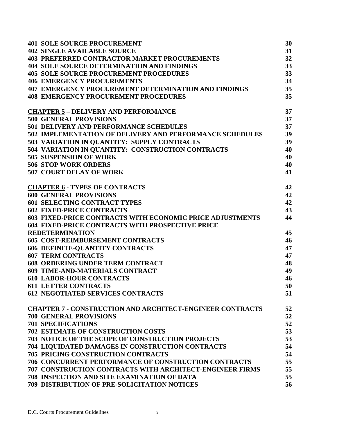| <b>401 SOLE SOURCE PROCUREMENT</b>                               | 30 |
|------------------------------------------------------------------|----|
| <b>402 SINGLE AVAILABLE SOURCE</b>                               | 31 |
| <b>403 PREFERRED CONTRACTOR MARKET PROCUREMENTS</b>              | 32 |
| <b>404 SOLE SOURCE DETERMINATION AND FINDINGS</b>                | 33 |
| <b>405 SOLE SOURCE PROCUREMENT PROCEDURES</b>                    | 33 |
| <b>406 EMERGENCY PROCUREMENTS</b>                                | 34 |
| <b>407 EMERGENCY PROCUREMENT DETERMINATION AND FINDINGS</b>      | 35 |
| <b>408 EMERGENCY PROCUREMENT PROCEDURES</b>                      | 35 |
| <b>CHAPTER 5 - DELIVERY AND PERFORMANCE</b>                      | 37 |
| <b>500 GENERAL PROVISIONS</b>                                    | 37 |
| <b>501 DELIVERY AND PERFORMANCE SCHEDULES</b>                    | 37 |
| 502 IMPLEMENTATION OF DELIVERY AND PERFORMANCE SCHEDULES         | 39 |
| 503 VARIATION IN QUANTITY: SUPPLY CONTRACTS                      | 39 |
| 504 VARIATION IN QUANTITY: CONSTRUCTION CONTRACTS                | 40 |
| <b>505 SUSPENSION OF WORK</b>                                    | 40 |
| <b>506 STOP WORK ORDERS</b>                                      | 40 |
| <b>507 COURT DELAY OF WORK</b>                                   | 41 |
| <b>CHAPTER 6 - TYPES OF CONTRACTS</b>                            | 42 |
| <b>600 GENERAL PROVISIONS</b>                                    | 42 |
| <b>601 SELECTING CONTRACT TYPES</b>                              | 42 |
| <b>602 FIXED-PRICE CONTRACTS</b>                                 | 43 |
| <b>603 FIXED-PRICE CONTRACTS WITH ECONOMIC PRICE ADJUSTMENTS</b> | 44 |
| <b>604 FIXED-PRICE CONTRACTS WITH PROSPECTIVE PRICE</b>          |    |
| <b>REDETERMINATION</b>                                           | 45 |
| <b>605 COST-REIMBURSEMENT CONTRACTS</b>                          | 46 |
| <b>606 DEFINITE-QUANTITY CONTRACTS</b>                           | 47 |
| <b>607 TERM CONTRACTS</b>                                        | 47 |
| <b>608 ORDERING UNDER TERM CONTRACT</b>                          | 48 |
| <b>609 TIME-AND-MATERIALS CONTRACT</b>                           | 49 |
| <b>610 LABOR-HOUR CONTRACTS</b>                                  | 46 |
| <b>611 LETTER CONTRACTS</b>                                      | 50 |
| <b>612 NEGOTIATED SERVICES CONTRACTS</b>                         | 51 |
| <b>CHAPTER 7 - CONSTRUCTION AND ARCHITECT-ENGINEER CONTRACTS</b> | 52 |
| <b>700 GENERAL PROVISIONS</b>                                    | 52 |
| <b>701 SPECIFICATIONS</b>                                        | 52 |
| <b>702 ESTIMATE OF CONSTRUCTION COSTS</b>                        | 53 |
| <b>703 NOTICE OF THE SCOPE OF CONSTRUCTION PROJECTS</b>          | 53 |
| 704 LIQUIDATED DAMAGES IN CONSTRUCTION CONTRACTS                 | 54 |
| <b>705 PRICING CONSTRUCTION CONTRACTS</b>                        | 54 |
| <b>706 CONCURRENT PERFORMANCE OF CONSTRUCTION CONTRACTS</b>      | 55 |
| <b>707 CONSTRUCTION CONTRACTS WITH ARCHITECT-ENGINEER FIRMS</b>  | 55 |
| <b>708 INSPECTION AND SITE EXAMINATION OF DATA</b>               | 55 |
| 709 DISTRIBUTION OF PRE-SOLICITATION NOTICES                     | 56 |
|                                                                  |    |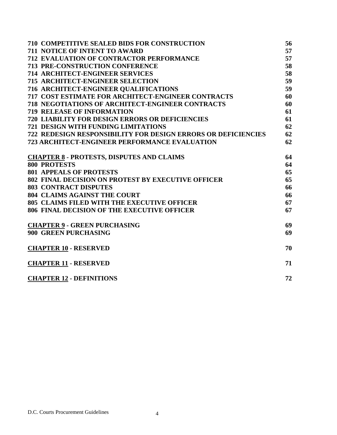| <b>710 COMPETITIVE SEALED BIDS FOR CONSTRUCTION</b>                  | 56 |
|----------------------------------------------------------------------|----|
| <b>711 NOTICE OF INTENT TO AWARD</b>                                 | 57 |
| 712 EVALUATION OF CONTRACTOR PERFORMANCE                             | 57 |
| 713 PRE-CONSTRUCTION CONFERENCE                                      | 58 |
| <b>714 ARCHITECT-ENGINEER SERVICES</b>                               | 58 |
| <b>715 ARCHITECT-ENGINEER SELECTION</b>                              | 59 |
| 716 ARCHITECT-ENGINEER QUALIFICATIONS                                | 59 |
| <b>717 COST ESTIMATE FOR ARCHITECT-ENGINEER CONTRACTS</b>            | 60 |
| <b>718 NEGOTIATIONS OF ARCHITECT-ENGINEER CONTRACTS</b>              | 60 |
| <b>719 RELEASE OF INFORMATION</b>                                    | 61 |
| <b>720 LIABILITY FOR DESIGN ERRORS OR DEFICIENCIES</b>               | 61 |
| <b>721 DESIGN WITH FUNDING LIMITATIONS</b>                           | 62 |
| <b>722 REDESIGN RESPONSIBILITY FOR DESIGN ERRORS OR DEFICIENCIES</b> | 62 |
| 723 ARCHITECT-ENGINEER PERFORMANCE EVALUATION                        | 62 |
| <b>CHAPTER 8 - PROTESTS, DISPUTES AND CLAIMS</b>                     | 64 |
| <b>800 PROTESTS</b>                                                  | 64 |
| <b>801 APPEALS OF PROTESTS</b>                                       | 65 |
| <b>802 FINAL DECISION ON PROTEST BY EXECUTIVE OFFICER</b>            | 65 |
| <b>803 CONTRACT DISPUTES</b>                                         | 66 |
| <b>804 CLAIMS AGAINST THE COURT</b>                                  | 66 |
| <b>805 CLAIMS FILED WITH THE EXECUTIVE OFFICER</b>                   | 67 |
| <b>806 FINAL DECISION OF THE EXECUTIVE OFFICER</b>                   | 67 |
| <b>CHAPTER 9 - GREEN PURCHASING</b>                                  | 69 |
| <b>900 GREEN PURCHASING</b>                                          | 69 |
| <b>CHAPTER 10 - RESERVED</b>                                         | 70 |
| <b>CHAPTER 11 - RESERVED</b>                                         | 71 |
| <b>CHAPTER 12 - DEFINITIONS</b>                                      | 72 |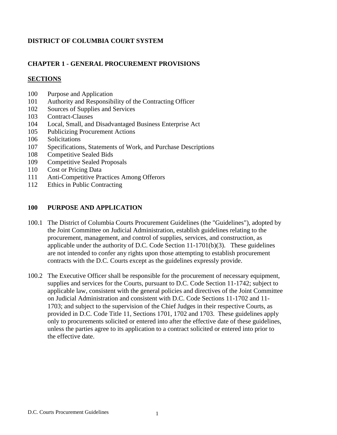#### **DISTRICT OF COLUMBIA COURT SYSTEM**

#### **CHAPTER 1 - GENERAL PROCUREMENT PROVISIONS**

#### **SECTIONS**

- 100 Purpose and Application
- 101 Authority and Responsibility of the Contracting Officer
- 102 Sources of Supplies and Services
- 103 Contract-Clauses
- 104 Local, Small, and Disadvantaged Business Enterprise Act
- 105 Publicizing Procurement Actions
- 106 Solicitations
- 107 Specifications, Statements of Work, and Purchase Descriptions
- 108 Competitive Sealed Bids
- 109 Competitive Sealed Proposals
- 110 Cost or Pricing Data
- 111 Anti-Competitive Practices Among Offerors
- 112 Ethics in Public Contracting

#### **100 PURPOSE AND APPLICATION**

- 100.1 The District of Columbia Courts Procurement Guidelines (the "Guidelines"), adopted by the Joint Committee on Judicial Administration, establish guidelines relating to the procurement, management, and control of supplies, services, and construction, as applicable under the authority of D.C. Code Section 11-1701(b)(3). These guidelines are not intended to confer any rights upon those attempting to establish procurement contracts with the D.C. Courts except as the guidelines expressly provide.
- 100.2 The Executive Officer shall be responsible for the procurement of necessary equipment, supplies and services for the Courts, pursuant to D.C. Code Section 11-1742; subject to applicable law, consistent with the general policies and directives of the Joint Committee on Judicial Administration and consistent with D.C. Code Sections 11-1702 and 11- 1703; and subject to the supervision of the Chief Judges in their respective Courts, as provided in D.C. Code Title 11, Sections 1701, 1702 and 1703. These guidelines apply only to procurements solicited or entered into after the effective date of these guidelines, unless the parties agree to its application to a contract solicited or entered into prior to the effective date.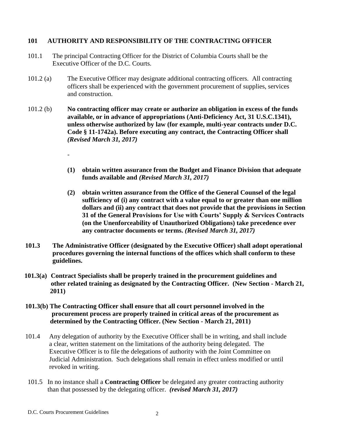#### **101 AUTHORITY AND RESPONSIBILITY OF THE CONTRACTING OFFICER**

- 101.1 The principal Contracting Officer for the District of Columbia Courts shall be the Executive Officer of the D.C. Courts.
- 101.2 (a) The Executive Officer may designate additional contracting officers. All contracting officers shall be experienced with the government procurement of supplies, services and construction.
- 101.2 (b) **No contracting officer may create or authorize an obligation in excess of the funds available, or in advance of appropriations (Anti-Deficiency Act, 31 U.S.C.1341), unless otherwise authorized by law (for example, multi-year contracts under D.C. Code § 11-1742a). Before executing any contract, the Contracting Officer shall** *(Revised March 31, 2017)*
	- **(1) obtain written assurance from the Budget and Finance Division that adequate funds available and** *(Revised March 31, 2017)*
	- **(2) obtain written assurance from the Office of the General Counsel of the legal sufficiency of (i) any contract with a value equal to or greater than one million dollars and (ii) any contract that does not provide that the provisions in Section 31 of the General Provisions for Use with Courts' Supply & Services Contracts (on the Unenforceability of Unauthorized Obligations) take precedence over any contractor documents or terms.** *(Revised March 31, 2017)*
- **101.3 The Administrative Officer (designated by the Executive Officer) shall adopt operational procedures governing the internal functions of the offices which shall conform to these guidelines.**
- **101.3(a) Contract Specialists shall be properly trained in the procurement guidelines and other related training as designated by the Contracting Officer. (New Section - March 21, 2011)**
- **101.3(b) The Contracting Officer shall ensure that all court personnel involved in the procurement process are properly trained in critical areas of the procurement as determined by the Contracting Officer. (New Section - March 21, 2011)**
- 101.4 Any delegation of authority by the Executive Officer shall be in writing, and shall include a clear, written statement on the limitations of the authority being delegated. The Executive Officer is to file the delegations of authority with the Joint Committee on Judicial Administration. Such delegations shall remain in effect unless modified or until revoked in writing.
- 101.5 In no instance shall a **Contracting Officer** be delegated any greater contracting authority than that possessed by the delegating officer. *(revised March 31, 2017)*

-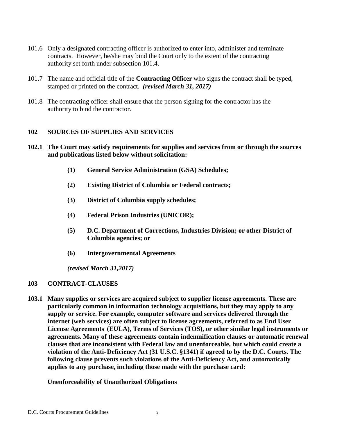- 101.6 Only a designated contracting officer is authorized to enter into, administer and terminate contracts. However, he/she may bind the Court only to the extent of the contracting authority set forth under subsection 101.4.
- 101.7 The name and official title of the **Contracting Officer** who signs the contract shall be typed, stamped or printed on the contract. *(revised March 31, 2017)*
- 101.8 The contracting officer shall ensure that the person signing for the contractor has the authority to bind the contractor.

#### **102 SOURCES OF SUPPLIES AND SERVICES**

- **102.1 The Court may satisfy requirements for supplies and services from or through the sources and publications listed below without solicitation:**
	- **(1) General Service Administration (GSA) Schedules;**
	- **(2) Existing District of Columbia or Federal contracts;**
	- **(3) District of Columbia supply schedules;**
	- **(4) Federal Prison Industries (UNICOR);**
	- **(5) D.C. Department of Corrections, Industries Division; or other District of Columbia agencies; or**
	- **(6) Intergovernmental Agreements**

 *(revised March 31,2017)*

#### **103 CONTRACT-CLAUSES**

**103.1 Many supplies or services are acquired subject to supplier license agreements. These are particularly common in information technology acquisitions, but they may apply to any supply or service. For example, computer software and services delivered through the internet (web services) are often subject to license agreements, referred to as End User License Agreements (EULA), Terms of Services (TOS), or other similar legal instruments or agreements. Many of these agreements contain indemnification clauses or automatic renewal clauses that are inconsistent with Federal law and unenforceable, but which could create a violation of the Anti-Deficiency Act (31 U.S.C. §1341) if agreed to by the D.C. Courts. The following clause prevents such violations of the Anti-Deficiency Act, and automatically applies to any purchase, including those made with the purchase card:**

#### **Unenforceability of Unauthorized Obligations**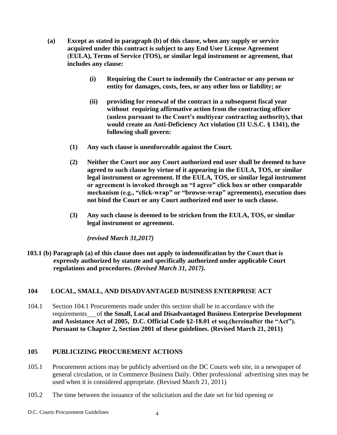- **(a) Except as stated in paragraph (b) of this clause, when any supply or service acquired under this contract is subject to any End User License Agreement** (**EULA), Terms of Service (TOS), or similar legal instrument or agreement, that includes any clause:**
	- **(i) Requiring the Court to indemnify the Contractor or any person or entity for damages, costs, fees, or any other loss or liability; or**
	- **(ii) providing for renewal of the contract in a subsequent fiscal year without requiring affirmative action from the contracting officer (unless pursuant to the Court's multiyear contracting authority), that would create an Anti-Deficiency Act violation (31 U.S.C. § 1341), the following shall govern:**
	- **(1) Any such clause is unenforceable against the Court.**
	- **(2) Neither the Court nor any Court authorized end user shall be deemed to have agreed to such clause by virtue of it appearing in the EULA, TOS, or similar legal instrument or agreement. If the EULA, TOS, or similar legal instrument or agreement is invoked through an "I agree" click box or other comparable mechanism (e.g., "click-wrap" or "browse-wrap" agreements), execution does not bind the Court or any Court authorized end user to such clause.**
	- **(3) Any such clause is deemed to be stricken from the EULA, TOS, or similar legal instrument or agreement.**

 *(revised March 31,2017)*

**103.1 (b) Paragraph (a) of this clause does not apply to indemnification by the Court that is expressly authorized by statute and specifically authorized under applicable Court regulations and procedures.** *(Revised March 31, 2017).*

#### **104 LOCAL, SMALL, AND DISADVANTAGED BUSINESS ENTERPRISE ACT**

104.1 Section 104.1 Procurements made under this section shall be in accordance with the requirements of **the Small, Local and Disadvantaged Business Enterprise Development and Assistance Act of 2005, D.C. Official Code §2-18.01 et seq.(hereinafter the "Act"). Pursuant to Chapter 2, Section 2001 of these guidelines. (Revised March 21, 2011)**

#### **105 PUBLICIZING PROCUREMENT ACTIONS**

- 105.1 Procurement actions may be publicly advertised on the DC Courts web site, in a newspaper of general circulation, or in Commerce Business Daily. Other professional advertising sites may be used when it is considered appropriate. (Revised March 21, 2011)
- 105.2 The time between the issuance of the solicitation and the date set for bid opening or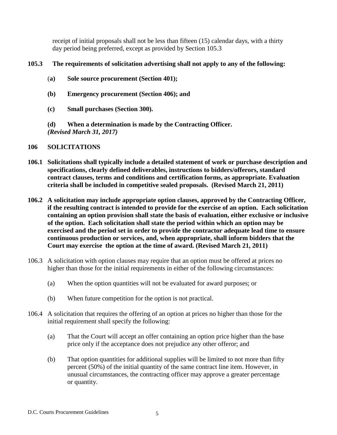receipt of initial proposals shall not be less than fifteen (15) calendar days, with a thirty day period being preferred, except as provided by Section 105.3

#### **105.3 The requirements of solicitation advertising shall not apply to any of the following:**

- (**a) Sole source procurement (Section 401);**
- **(b) Emergency procurement (Section 406); and**
- **(c) Small purchases (Section 300).**

**(d) When a determination is made by the Contracting Officer.** *(Revised March 31, 2017)*

#### **106 SOLICITATIONS**

- **106.1 Solicitations shall typically include a detailed statement of work or purchase description and specifications, clearly defined deliverables, instructions to bidders/offerors, standard contract clauses, terms and conditions and certification forms, as appropriate. Evaluation criteria shall be included in competitive sealed proposals. (Revised March 21, 2011)**
- **106.2 A solicitation may include appropriate option clauses, approved by the Contracting Officer, if the resulting contract is intended to provide for the exercise of an option. Each solicitation containing an option provision shall state the basis of evaluation, either exclusive or inclusive of the option. Each solicitation shall state the period within which an option may be exercised and the period set in order to provide the contractor adequate lead time to ensure continuous production or services, and, when appropriate, shall inform bidders that the Court may exercise the option at the time of award. (Revised March 21, 2011)**
- 106.3 A solicitation with option clauses may require that an option must be offered at prices no higher than those for the initial requirements in either of the following circumstances:
	- (a) When the option quantities will not be evaluated for award purposes; or
	- (b) When future competition for the option is not practical.
- 106.4 A solicitation that requires the offering of an option at prices no higher than those for the initial requirement shall specify the following:
	- (a) That the Court will accept an offer containing an option price higher than the base price only if the acceptance does not prejudice any other offeror; and
	- (b) That option quantities for additional supplies will be limited to not more than fifty percent (50%) of the initial quantity of the same contract line item. However, in unusual circumstances, the contracting officer may approve a greater percentage or quantity.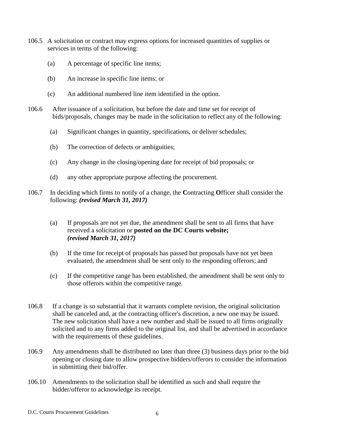- 106.5 A solicitation or contract may express options for increased quantities of supplies or services in terms of the following:
	- (a) A percentage of specific line items;
	- (b) An increase in specific line items; or
	- (c) An additional numbered line item identified in the option.
- 106.6 After issuance of a solicitation, but before the date and time set for receipt of bids/proposals, changes may be made in the solicitation to reflect any of the following:
	- (a) Significant changes in quantity, specifications, or deliver schedules;
	- (b) The correction of defects or ambiguities;
	- (c) Any change in the closing/opening date for receipt of bid proposals; or
	- (d) any other appropriate purpose affecting the procurement.
- 106.7 In deciding which firms to notify of a change, the **C**ontracting **O**fficer shall consider the following: *(revised March 31, 2017)*
	- (a) If proposals are not yet due, the amendment shall be sent to all firms that have received a solicitation or **posted on the DC Courts website;** *(revised March 31, 2017)*
	- (b) If the time for receipt of proposals has passed but proposals have not yet been evaluated, the amendment shall be sent only to the responding offerors; and
	- (c) If the competitive range has been established, the amendment shall be sent only to those offerors within the competitive range.
- 106.8 If a change is so substantial that it warrants complete revision, the original solicitation shall be canceled and, at the contracting officer's discretion, a new one may be issued. The new solicitation shall have a new number and shall be issued to all firms originally solicited and to any firms added to the original list, and shall be advertised in accordance with the requirements of these guidelines.
- 106.9 Any amendments shall be distributed no later than three (3) business days prior to the bid opening or closing date to allow prospective bidders/offerors to consider the information in submitting their bid/offer.
- 106.10 Amendments to the solicitation shall be identified as such and shall require the bidder/offeror to acknowledge its receipt.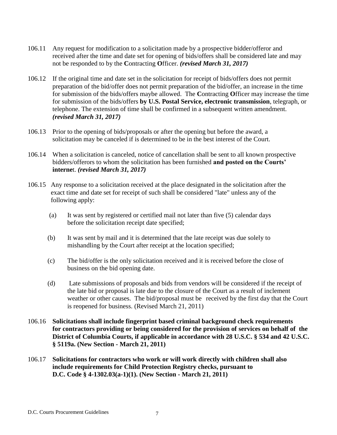- 106.11 Any request for modification to a solicitation made by a prospective bidder/offeror and received after the time and date set for opening of bids/offers shall be considered late and may not be responded to by the **C**ontracting **O**fficer. *(revised March 31, 2017)*
- 106.12 If the original time and date set in the solicitation for receipt of bids/offers does not permit preparation of the bid/offer does not permit preparation of the bid/offer, an increase in the time for submission of the bids/offers maybe allowed. The **C**ontracting **O**fficer may increase the time for submission of the bids/offers **by U.S. Postal Service, electronic transmission**, telegraph, or telephone. The extension of time shall be confirmed in a subsequent written amendment. *(revised March 31, 2017)*
- 106.13 Prior to the opening of bids/proposals or after the opening but before the award, a solicitation may be canceled if is determined to be in the best interest of the Court.
- 106.14 When a solicitation is canceled, notice of cancellation shall be sent to all known prospective bidders/offerors to whom the solicitation has been furnished **and posted on the Courts' interne**t. *(revised March 31, 2017)*
- 106.15 Any response to a solicitation received at the place designated in the solicitation after the exact time and date set for receipt of such shall be considered "late" unless any of the following apply:
	- (a) It was sent by registered or certified mail not later than five (5) calendar days before the solicitation receipt date specified;
	- (b) It was sent by mail and it is determined that the late receipt was due solely to mishandling by the Court after receipt at the location specified;
	- (c) The bid/offer is the only solicitation received and it is received before the close of business on the bid opening date.
	- (d) Late submissions of proposals and bids from vendors will be considered if the receipt of the late bid or proposal is late due to the closure of the Court as a result of inclement weather or other causes. The bid/proposal must be received by the first day that the Court is reopened for business. (Revised March 21, 2011)
- 106.16 **Solicitations shall include fingerprint based criminal background check requirements for contractors providing or being considered for the provision of services on behalf of the District of Columbia Courts, if applicable in accordance with 28 U.S.C. § 534 and 42 U.S.C. § 5119a. (New Section - March 21, 2011)**
- 106.17 **Solicitations for contractors who work or will work directly with children shall also include requirements for Child Protection Registry checks, pursuant to D.C. Code § 4-1302.03(a-1)(1). (New Section - March 21, 2011)**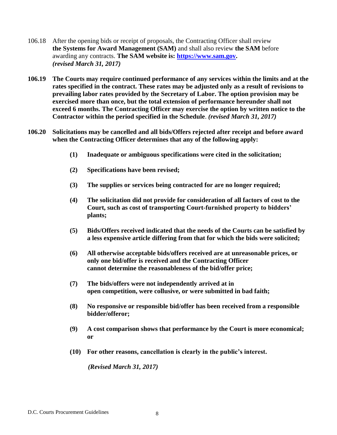- 106.18 After the opening bids or receipt of proposals, the Contracting Officer shall review **the Systems for Award Management (SAM)** and shall also review **the SAM** before awarding any contracts. **The SAM website is: [https://www.sam.gov.](https://www.sam.gov/)** *(revised March 31, 2017)*
- **106.19 The Courts may require continued performance of any services within the limits and at the rates specified in the contract. These rates may be adjusted only as a result of revisions to prevailing labor rates provided by the Secretary of Labor. The option provision may be exercised more than once, but the total extension of performance hereunder shall not exceed 6 months. The Contracting Officer may exercise the option by written notice to the Contractor within the period specified in the Schedule**. *(revised March 31, 2017)*
- **106.20 Solicitations may be cancelled and all bids/Offers rejected after receipt and before award when the Contracting Officer determines that any of the following apply:**
	- **(1) Inadequate or ambiguous specifications were cited in the solicitation;**
	- **(2) Specifications have been revised;**
	- **(3) The supplies or services being contracted for are no longer required;**
	- **(4) The solicitation did not provide for consideration of all factors of cost to the Court, such as cost of transporting Court-furnished property to bidders' plants;**
	- **(5) Bids/Offers received indicated that the needs of the Courts can be satisfied by a less expensive article differing from that for which the bids were solicited;**
	- **(6) All otherwise acceptable bids/offers received are at unreasonable prices, or only one bid/offer is received and the Contracting Officer cannot determine the reasonableness of the bid/offer price;**
	- **(7) The bids/offers were not independently arrived at in open competition, were collusive, or were submitted in bad faith;**
	- **(8) No responsive or responsible bid/offer has been received from a responsible bidder/offeror;**
	- **(9) A cost comparison shows that performance by the Court is more economical; or**
	- **(10) For other reasons, cancellation is clearly in the public's interest.**

 *(Revised March 31, 2017)*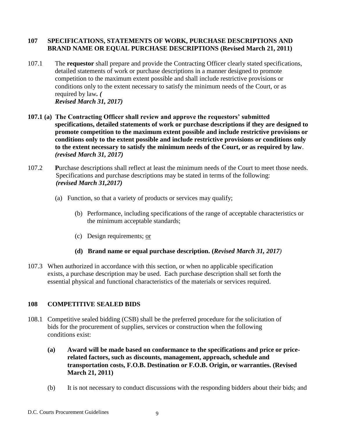#### **107 SPECIFICATIONS, STATEMENTS OF WORK, PURCHASE DESCRIPTIONS AND BRAND NAME OR EQUAL PURCHASE DESCRIPTIONS (Revised March 21, 2011)**

- 107.1 The **requestor** shall prepare and provide the Contracting Officer clearly stated specifications, detailed statements of work or purchase descriptions in a manner designed to promote competition to the maximum extent possible and shall include restrictive provisions or conditions only to the extent necessary to satisfy the minimum needs of the Court, or as required by law*. ( Revised March 31, 2017)*
- **107.1 (a) The Contracting Officer shall review and approve the requestors' submitted specifications, detailed statements of work or purchase descriptions if they are designed to promote competition to the maximum extent possible and include restrictive provisions or conditions only to the extent possible and include restrictive provisions or conditions only to the extent necessary to satisfy the minimum needs of the Court, or as required by law**. *(revised March 31, 2017)*
- 107.2 **P**urchase descriptions shall reflect at least the minimum needs of the Court to meet those needs. Specifications and purchase descriptions may be stated in terms of the following: *(revised March 31,2017)*
	- (a) Function, so that a variety of products or services may qualify;
		- (b) Performance, including specifications of the range of acceptable characteristics or the minimum acceptable standards;
		- (c) Design requirements; or
		- **(d) Brand name or equal purchase description. (***Revised March 31, 2017)*
- 107.3 When authorized in accordance with this section, or when no applicable specification exists, a purchase description may be used. Each purchase description shall set forth the essential physical and functional characteristics of the materials or services required.

### **108 COMPETITIVE SEALED BIDS**

- 108.1 Competitive sealed bidding (CSB) shall be the preferred procedure for the solicitation of bids for the procurement of supplies, services or construction when the following conditions exist:
	- **(a) Award will be made based on conformance to the specifications and price or pricerelated factors, such as discounts, management, approach, schedule and transportation costs, F.O.B. Destination or F.O.B. Origin, or warranties. (Revised March 21, 2011)**
	- (b) It is not necessary to conduct discussions with the responding bidders about their bids; and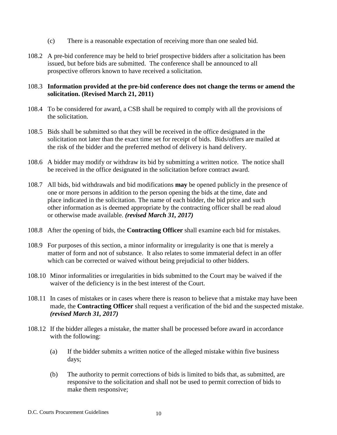- (c) There is a reasonable expectation of receiving more than one sealed bid.
- 108.2 A pre-bid conference may be held to brief prospective bidders after a solicitation has been issued, but before bids are submitted. The conference shall be announced to all prospective offerors known to have received a solicitation.

#### 108.3 **Information provided at the pre-bid conference does not change the terms or amend the solicitation. (Revised March 21, 2011)**

- 108.4 To be considered for award, a CSB shall be required to comply with all the provisions of the solicitation.
- 108.5 Bids shall be submitted so that they will be received in the office designated in the solicitation not later than the exact time set for receipt of bids. Bids/offers are mailed at the risk of the bidder and the preferred method of delivery is hand delivery.
- 108.6 A bidder may modify or withdraw its bid by submitting a written notice. The notice shall be received in the office designated in the solicitation before contract award.
- 108.7 All bids, bid withdrawals and bid modifications **may** be opened publicly in the presence of one or more persons in addition to the person opening the bids at the time, date and place indicated in the solicitation. The name of each bidder, the bid price and such other information as is deemed appropriate by the contracting officer shall be read aloud or otherwise made available. *(revised March 31, 2017)*
- 108.8 After the opening of bids, the **Contracting Officer** shall examine each bid for mistakes.
- 108.9 For purposes of this section, a minor informality or irregularity is one that is merely a matter of form and not of substance. It also relates to some immaterial defect in an offer which can be corrected or waived without being prejudicial to other bidders.
- 108.10 Minor informalities or irregularities in bids submitted to the Court may be waived if the waiver of the deficiency is in the best interest of the Court.
- 108.11 In cases of mistakes or in cases where there is reason to believe that a mistake may have been made, the **Contracting Officer** shall request a verification of the bid and the suspected mistake. *(revised March 31, 2017)*
- 108.12 If the bidder alleges a mistake, the matter shall be processed before award in accordance with the following:
	- (a) If the bidder submits a written notice of the alleged mistake within five business days;
	- (b) The authority to permit corrections of bids is limited to bids that, as submitted, are responsive to the solicitation and shall not be used to permit correction of bids to make them responsive;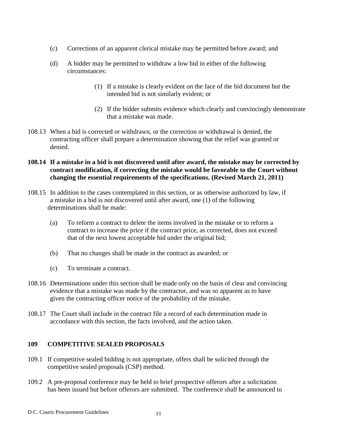- (c) Corrections of an apparent clerical mistake may be permitted before award; and
- (d) A bidder may be permitted to withdraw a low bid in either of the following circumstances:
	- (1) If a mistake is clearly evident on the face of the bid document but the intended bid is not similarly evident; or
	- (2) If the bidder submits evidence which clearly and convincingly demonstrate that a mistake was made.
- 108.13 When a bid is corrected or withdrawn, or the correction or withdrawal is denied, the contracting officer shall prepare a determination showing that the relief was granted or denied.
- **108.14 If a mistake in a bid is not discovered until after award, the mistake may be corrected by contract modification, if correcting the mistake would be favorable to the Court without changing the essential requirements of the specifications. (Revised March 21, 2011)**
- 108.15 In addition to the cases contemplated in this section, or as otherwise authorized by law, if a mistake in a bid is not discovered until after award, one (1) of the following determinations shall be made:
	- (a) To reform a contract to delete the items involved in the mistake or to reform a contract to increase the price if the contract price, as corrected, does not exceed that of the next lowest acceptable bid under the original bid;
	- (b) That no changes shall be made in the contract as awarded; or
	- (c) To terminate a contract.
- 108.16 Determinations under this section shall be made only on the basis of clear and convincing evidence that a mistake was made by the contractor, and was so apparent as to have given the contracting officer notice of the probability of the mistake.
- 108.17 The Court shall include in the contract file a record of each determination made in accordance with this section, the facts involved, and the action taken.

#### **109 COMPETITIVE SEALED PROPOSALS**

- 109.1 If competitive sealed bidding is not appropriate, offers shall be solicited through the competitive sealed proposals (CSP) method.
- 109.2 A pre-proposal conference may be held to brief prospective offerors after a solicitation has been issued but before offerors are submitted. The conference shall be announced to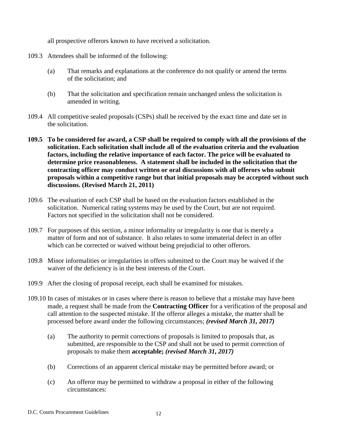all prospective offerors known to have received a solicitation.

- 109.3 Attendees shall be informed of the following:
	- (a) That remarks and explanations at the conference do not qualify or amend the terms of the solicitation; and
	- (b) That the solicitation and specification remain unchanged unless the solicitation is amended in writing.
- 109.4 All competitive sealed proposals (CSPs) shall be received by the exact time and date set in the solicitation.
- **109.5 To be considered for award, a CSP shall be required to comply with all the provisions of the solicitation. Each solicitation shall include all of the evaluation criteria and the evaluation factors, including the relative importance of each factor. The price will be evaluated to determine price reasonableness. A statement shall be included in the solicitation that the contracting officer may conduct written or oral discussions with all offerors who submit proposals within a competitive range but that initial proposals may be accepted without such discussions. (Revised March 21, 2011)**
- 109.6 The evaluation of each CSP shall be based on the evaluation factors established in the solicitation. Numerical rating systems may be used by the Court, but are not required. Factors not specified in the solicitation shall not be considered.
- 109.7 For purposes of this section, a minor informality or irregularity is one that is merely a matter of form and not of substance. It also relates to some immaterial defect in an offer which can be corrected or waived without being prejudicial to other offerors.
- 109.8 Minor informalities or irregularities in offers submitted to the Court may be waived if the waiver of the deficiency is in the best interests of the Court.
- 109.9 After the closing of proposal receipt, each shall be examined for mistakes.
- 109.10 In cases of mistakes or in cases where there is reason to believe that a mistake may have been made, a request shall be made from the **Contracting Officer** for a verification of the proposal and call attention to the suspected mistake. If the offeror alleges a mistake, the matter shall be processed before award under the following circumstances; *(revised March 31, 2017)*
	- (a) The authority to permit corrections of proposals is limited to proposals that, as submitted, are responsible to the CSP and shall not be used to permit correction of proposals to make them **acceptable;** *(revised March 31, 2017)*
	- (b) Corrections of an apparent clerical mistake may be permitted before award; or
	- (c) An offeror may be permitted to withdraw a proposal in either of the following circumstances: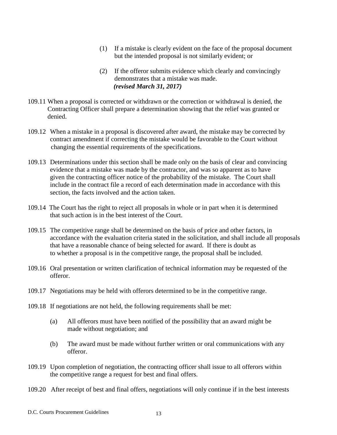- (1) If a mistake is clearly evident on the face of the proposal document but the intended proposal is not similarly evident; or
- (2) If the offeror submits evidence which clearly and convincingly demonstrates that a mistake was made.  *(revised March 31, 2017)*
- 109.11 When a proposal is corrected or withdrawn or the correction or withdrawal is denied, the Contracting Officer shall prepare a determination showing that the relief was granted or denied.
- 109.12 When a mistake in a proposal is discovered after award, the mistake may be corrected by contract amendment if correcting the mistake would be favorable to the Court without changing the essential requirements of the specifications.
- 109.13 Determinations under this section shall be made only on the basis of clear and convincing evidence that a mistake was made by the contractor, and was so apparent as to have given the contracting officer notice of the probability of the mistake. The Court shall include in the contract file a record of each determination made in accordance with this section, the facts involved and the action taken.
- 109.14 The Court has the right to reject all proposals in whole or in part when it is determined that such action is in the best interest of the Court.
- 109.15 The competitive range shall be determined on the basis of price and other factors, in accordance with the evaluation criteria stated in the solicitation, and shall include all proposals that have a reasonable chance of being selected for award. If there is doubt as to whether a proposal is in the competitive range, the proposal shall be included.
- 109.16 Oral presentation or written clarification of technical information may be requested of the offeror.
- 109.17 Negotiations may be held with offerors determined to be in the competitive range.
- 109.18 If negotiations are not held, the following requirements shall be met:
	- (a) All offerors must have been notified of the possibility that an award might be made without negotiation; and
	- (b) The award must be made without further written or oral communications with any offeror.
- 109.19 Upon completion of negotiation, the contracting officer shall issue to all offerors within the competitive range a request for best and final offers.
- 109.20 After receipt of best and final offers, negotiations will only continue if in the best interests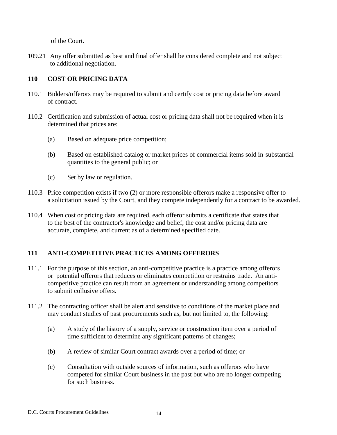of the Court.

109.21 Any offer submitted as best and final offer shall be considered complete and not subject to additional negotiation.

#### **110 COST OR PRICING DATA**

- 110.1 Bidders/offerors may be required to submit and certify cost or pricing data before award of contract.
- 110.2 Certification and submission of actual cost or pricing data shall not be required when it is determined that prices are:
	- (a) Based on adequate price competition;
	- (b) Based on established catalog or market prices of commercial items sold in substantial quantities to the general public; or
	- (c) Set by law or regulation.
- 110.3 Price competition exists if two (2) or more responsible offerors make a responsive offer to a solicitation issued by the Court, and they compete independently for a contract to be awarded.
- 110.4 When cost or pricing data are required, each offeror submits a certificate that states that to the best of the contractor's knowledge and belief, the cost and/or pricing data are accurate, complete, and current as of a determined specified date.

### **111 ANTI-COMPETITIVE PRACTICES AMONG OFFERORS**

- 111.1 For the purpose of this section, an anti-competitive practice is a practice among offerors or potential offerors that reduces or eliminates competition or restrains trade. An anticompetitive practice can result from an agreement or understanding among competitors to submit collusive offers.
- 111.2 The contracting officer shall be alert and sensitive to conditions of the market place and may conduct studies of past procurements such as, but not limited to, the following:
	- (a) A study of the history of a supply, service or construction item over a period of time sufficient to determine any significant patterns of changes;
	- (b) A review of similar Court contract awards over a period of time; or
	- (c) Consultation with outside sources of information, such as offerors who have competed for similar Court business in the past but who are no longer competing for such business.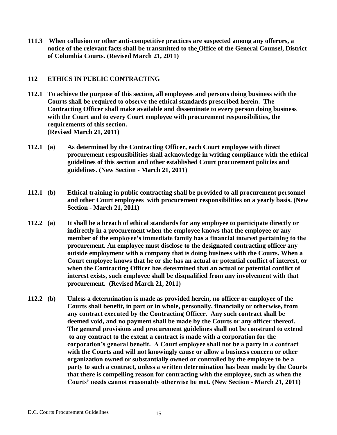**111.3 When collusion or other anti-competitive practices are suspected among any offerors, a notice of the relevant facts shall be transmitted to the Office of the General Counsel, District of Columbia Courts. (Revised March 21, 2011)**

#### **112 ETHICS IN PUBLIC CONTRACTING**

- **112.1 To achieve the purpose of this section, all employees and persons doing business with the Courts shall be required to observe the ethical standards prescribed herein. The Contracting Officer shall make available and disseminate to every person doing business with the Court and to every Court employee with procurement responsibilities, the requirements of this section. (Revised March 21, 2011)**
- **112.1 (a) As determined by the Contracting Officer, each Court employee with direct procurement responsibilities shall acknowledge in writing compliance with the ethical guidelines of this section and other established Court procurement policies and guidelines. (New Section - March 21, 2011)**
- **112.1 (b) Ethical training in public contracting shall be provided to all procurement personnel and other Court employees with procurement responsibilities on a yearly basis. (New Section - March 21, 2011)**
- **112.2 (a) It shall be a breach of ethical standards for any employee to participate directly or indirectly in a procurement when the employee knows that the employee or any member of the employee's immediate family has a financial interest pertaining to the procurement. An employee must disclose to the designated contracting officer any outside employment with a company that is doing business with the Courts. When a Court employee knows that he or she has an actual or potential conflict of interest, or when the Contracting Officer has determined that an actual or potential conflict of interest exists, such employee shall be disqualified from any involvement with that procurement. (Revised March 21, 2011)**
- **112.2 (b) Unless a determination is made as provided herein, no officer or employee of the Courts shall benefit, in part or in whole, personally, financially or otherwise, from any contract executed by the Contracting Officer. Any such contract shall be deemed void, and no payment shall be made by the Courts or any officer thereof. The general provisions and procurement guidelines shall not be construed to extend to any contract to the extent a contract is made with a corporation for the corporation's general benefit. A Court employee shall not be a party in a contract with the Courts and will not knowingly cause or allow a business concern or other organization owned or substantially owned or controlled by the employee to be a party to such a contract, unless a written determination has been made by the Courts that there is compelling reason for contracting with the employee, such as when the Courts' needs cannot reasonably otherwise be met. (New Section - March 21, 2011)**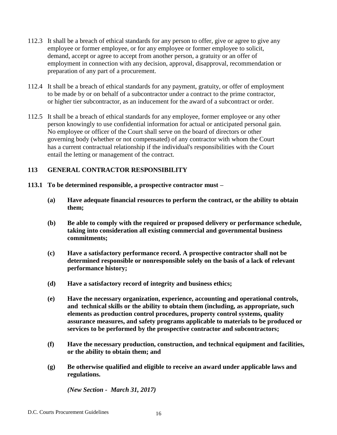- 112.3 It shall be a breach of ethical standards for any person to offer, give or agree to give any employee or former employee, or for any employee or former employee to solicit, demand, accept or agree to accept from another person, a gratuity or an offer of employment in connection with any decision, approval, disapproval, recommendation or preparation of any part of a procurement.
- 112.4 It shall be a breach of ethical standards for any payment, gratuity, or offer of employment to be made by or on behalf of a subcontractor under a contract to the prime contractor, or higher tier subcontractor, as an inducement for the award of a subcontract or order.
- 112.5 It shall be a breach of ethical standards for any employee, former employee or any other person knowingly to use confidential information for actual or anticipated personal gain. No employee or officer of the Court shall serve on the board of directors or other governing body (whether or not compensated) of any contractor with whom the Court has a current contractual relationship if the individual's responsibilities with the Court entail the letting or management of the contract.

#### **113 GENERAL CONTRACTOR RESPONSIBILITY**

- **113.1 To be determined responsible, a prospective contractor must –**
	- **(a) Have adequate financial resources to perform the contract, or the ability to obtain them;**
	- **(b) Be able to comply with the required or proposed delivery or performance schedule, taking into consideration all existing commercial and governmental business commitments;**
	- **(c) Have a satisfactory performance record. A prospective contractor shall not be determined responsible or nonresponsible solely on the basis of a lack of relevant performance history;**
	- **(d) Have a satisfactory record of integrity and business ethics;**
	- **(e) Have the necessary organization, experience, accounting and operational controls, and technical skills or the ability to obtain them (including, as appropriate, such elements as production control procedures, property control systems, quality assurance measures, and safety programs applicable to materials to be produced or services to be performed by the prospective contractor and subcontractors;**
	- **(f) Have the necessary production, construction, and technical equipment and facilities, or the ability to obtain them; and**
	- **(g) Be otherwise qualified and eligible to receive an award under applicable laws and regulations.**

 *(New Section - March 31, 2017)*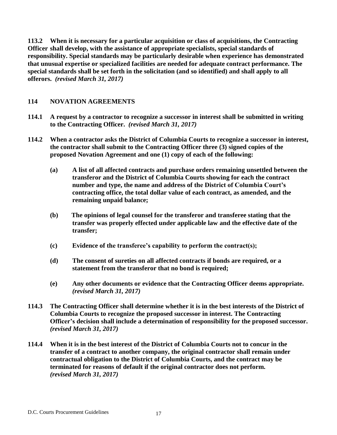**113.2 When it is necessary for a particular acquisition or class of acquisitions, the Contracting Officer shall develop, with the assistance of appropriate specialists, special standards of responsibility. Special standards may be particularly desirable when experience has demonstrated that unusual expertise or specialized facilities are needed for adequate contract performance. The special standards shall be set forth in the solicitation (and so identified) and shall apply to all offerors.** *(revised March 31, 2017)*

#### **114 NOVATION AGREEMENTS**

- **114.1 A request by a contractor to recognize a successor in interest shall be submitted in writing to the Contracting Officer.** *(revised March 31, 2017)*
- **114.2 When a contractor asks the District of Columbia Courts to recognize a successor in interest, the contractor shall submit to the Contracting Officer three (3) signed copies of the proposed Novation Agreement and one (1) copy of each of the following:**
	- **(a) A list of all affected contracts and purchase orders remaining unsettled between the transferor and the District of Columbia Courts showing for each the contract number and type, the name and address of the District of Columbia Court's contracting office, the total dollar value of each contract, as amended, and the remaining unpaid balance;**
	- **(b) The opinions of legal counsel for the transferor and transferee stating that the transfer was properly effected under applicable law and the effective date of the transfer;**
	- **(c) Evidence of the transferee's capability to perform the contract(s);**
	- **(d) The consent of sureties on all affected contracts if bonds are required, or a statement from the transferor that no bond is required;**
	- **(e) Any other documents or evidence that the Contracting Officer deems appropriate.** *(revised March 31, 2017)*
- **114.3 The Contracting Officer shall determine whether it is in the best interests of the District of Columbia Courts to recognize the proposed successor in interest. The Contracting Officer's decision shall include a determination of responsibility for the proposed successor.** *(revised March 31, 2017)*
- **114.4 When it is in the best interest of the District of Columbia Courts not to concur in the transfer of a contract to another company, the original contractor shall remain under contractual obligation to the District of Columbia Courts, and the contract may be terminated for reasons of default if the original contractor does not perform.** *(revised March 31, 2017)*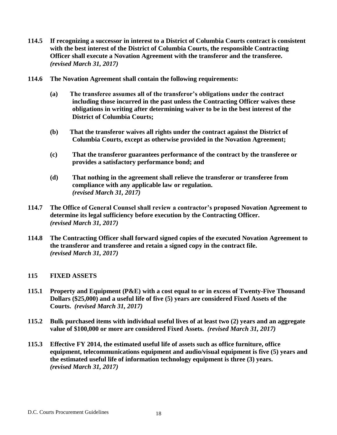- **114.5 If recognizing a successor in interest to a District of Columbia Courts contract is consistent with the best interest of the District of Columbia Courts, the responsible Contracting Officer shall execute a Novation Agreement with the transferor and the transferee.** *(revised March 31, 2017)*
- **114.6 The Novation Agreement shall contain the following requirements:**
	- **(a) The transferee assumes all of the transferor's obligations under the contract including those incurred in the past unless the Contracting Officer waives these obligations in writing after determining waiver to be in the best interest of the District of Columbia Courts;**
	- **(b) That the transferor waives all rights under the contract against the District of Columbia Courts, except as otherwise provided in the Novation Agreement;**
	- **(c) That the transferor guarantees performance of the contract by the transferee or provides a satisfactory performance bond; and**
	- **(d) That nothing in the agreement shall relieve the transferor or transferee from compliance with any applicable law or regulation.** *(revised March 31, 2017)*
- **114.7 The Office of General Counsel shall review a contractor's proposed Novation Agreement to determine its legal sufficiency before execution by the Contracting Officer.** *(revised March 31, 2017)*
- **114.8 The Contracting Officer shall forward signed copies of the executed Novation Agreement to the transferor and transferee and retain a signed copy in the contract file.**  *(revised March 31, 2017)*

#### **115 FIXED ASSETS**

- **115.1 Property and Equipment (P&E) with a cost equal to or in excess of Twenty-Five Thousand Dollars (\$25,000) and a useful life of five (5) years are considered Fixed Assets of the Courts.** *(revised March 31, 2017)*
- **115.2 Bulk purchased items with individual useful lives of at least two (2) years and an aggregate value of \$100,000 or more are considered Fixed Assets.** *(revised March 31, 2017)*
- **115.3 Effective FY 2014, the estimated useful life of assets such as office furniture, office equipment, telecommunications equipment and audio/visual equipment is five (5) years and the estimated useful life of information technology equipment is three (3) years.** *(revised March 31, 2017)*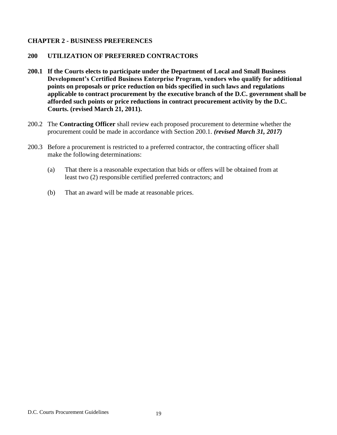#### **CHAPTER 2 - BUSINESS PREFERENCES**

#### **200 UTILIZATION OF PREFERRED CONTRACTORS**

- **200.1 If the Courts elects to participate under the Department of Local and Small Business Development's Certified Business Enterprise Program, vendors who qualify for additional points on proposals or price reduction on bids specified in such laws and regulations applicable to contract procurement by the executive branch of the D.C. government shall be afforded such points or price reductions in contract procurement activity by the D.C. Courts. (revised March 21, 2011).**
- 200.2 The **Contracting Officer** shall review each proposed procurement to determine whether the procurement could be made in accordance with Section 200.1. *(revised March 31, 2017)*
- 200.3 Before a procurement is restricted to a preferred contractor, the contracting officer shall make the following determinations:
	- (a) That there is a reasonable expectation that bids or offers will be obtained from at least two (2) responsible certified preferred contractors; and
	- (b) That an award will be made at reasonable prices.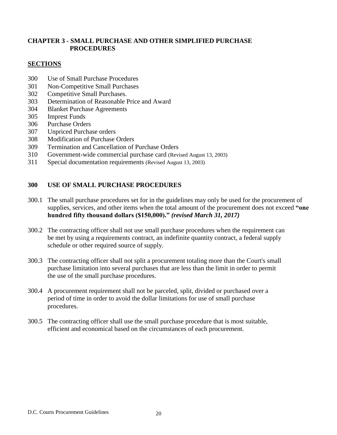#### **CHAPTER 3 - SMALL PURCHASE AND OTHER SIMPLIFIED PURCHASE PROCEDURES**

#### **SECTIONS**

- 300 Use of Small Purchase Procedures
- 301 Non-Competitive Small Purchases
- 302 Competitive Small Purchases.
- 303 Determination of Reasonable Price and Award
- 304 Blanket Purchase Agreements
- 305 Imprest Funds
- 306 Purchase Orders
- 307 Unpriced Purchase orders
- 308 Modification of Purchase Orders
- 309 Termination and Cancellation of Purchase Orders
- 310 Government-wide commercial purchase card (Revised August 13, 2003)
- 311 Special documentation requirements (Revised August 13, 2003)

#### **300 USE OF SMALL PURCHASE PROCEDURES**

- 300.1 The small purchase procedures set for in the guidelines may only be used for the procurement of supplies, services, and other items when the total amount of the procurement does not exceed **"one hundred fifty thousand dollars (\$150,000)."** *(revised March 31, 2017)*
- 300.2 The contracting officer shall not use small purchase procedures when the requirement can be met by using a requirements contract, an indefinite quantity contract, a federal supply schedule or other required source of supply.
- 300.3 The contracting officer shall not split a procurement totaling more than the Court's small purchase limitation into several purchases that are less than the limit in order to permit the use of the small purchase procedures.
- 300.4 A procurement requirement shall not be parceled, split, divided or purchased over a period of time in order to avoid the dollar limitations for use of small purchase procedures.
- 300.5 The contracting officer shall use the small purchase procedure that is most suitable, efficient and economical based on the circumstances of each procurement.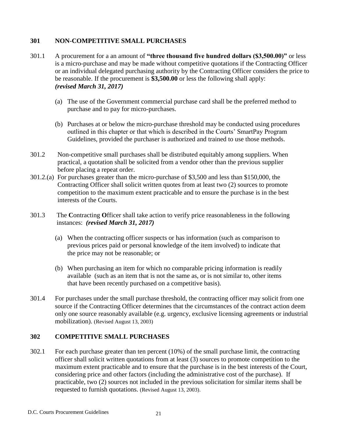#### **301 NON-COMPETITIVE SMALL PURCHASES**

- 301.1 A procurement for a an amount of **"three thousand five hundred dollars (\$3,500.00)"** or less is a micro-purchase and may be made without competitive quotations if the Contracting Officer or an individual delegated purchasing authority by the Contracting Officer considers the price to be reasonable. If the procurement is **\$3,500.00** or less the following shall apply: *(revised March 31, 2017)*
	- (a) The use of the Government commercial purchase card shall be the preferred method to purchase and to pay for micro-purchases.
	- (b) Purchases at or below the micro-purchase threshold may be conducted using procedures outlined in this chapter or that which is described in the Courts' SmartPay Program Guidelines, provided the purchaser is authorized and trained to use those methods.
- 301.2 Non-competitive small purchases shall be distributed equitably among suppliers. When practical, a quotation shall be solicited from a vendor other than the previous supplier before placing a repeat order.
- 301.2.(a) For purchases greater than the micro-purchase of \$3,500 and less than \$150,000, the Contracting Officer shall solicit written quotes from at least two (2) sources to promote competition to the maximum extent practicable and to ensure the purchase is in the best interests of the Courts.
- 301.3 The **C**ontracting **O**fficer shall take action to verify price reasonableness in the following instances: *(revised March 31, 2017)*
	- (a) When the contracting officer suspects or has information (such as comparison to previous prices paid or personal knowledge of the item involved) to indicate that the price may not be reasonable; or
	- (b) When purchasing an item for which no comparable pricing information is readily available (such as an item that is not the same as, or is not similar to, other items that have been recently purchased on a competitive basis).
- 301.4 For purchases under the small purchase threshold, the contracting officer may solicit from one source if the Contracting Officer determines that the circumstances of the contract action deem only one source reasonably available (e.g. urgency, exclusive licensing agreements or industrial mobilization). (Revised August 13, 2003)

#### **302 COMPETITIVE SMALL PURCHASES**

302.1 For each purchase greater than ten percent (10%) of the small purchase limit, the contracting officer shall solicit written quotations from at least (3) sources to promote competition to the maximum extent practicable and to ensure that the purchase is in the best interests of the Court, considering price and other factors (including the administrative cost of the purchase). If practicable, two (2) sources not included in the previous solicitation for similar items shall be requested to furnish quotations. (Revised August 13, 2003).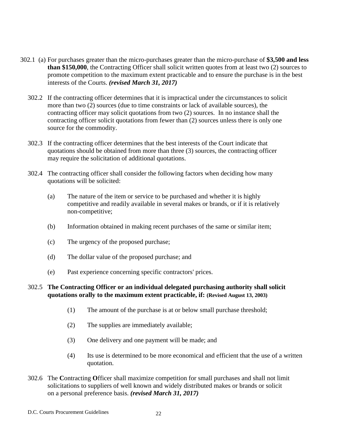- 302.1 (a) For purchases greater than the micro-purchases greater than the micro-purchase of **\$3,500 and less than \$150,000**, the Contracting Officer shall solicit written quotes from at least two (2) sources to promote competition to the maximum extent practicable and to ensure the purchase is in the best interests of the Courts. *(revised March 31, 2017)*
	- 302.2 If the contracting officer determines that it is impractical under the circumstances to solicit more than two (2) sources (due to time constraints or lack of available sources), the contracting officer may solicit quotations from two (2) sources. In no instance shall the contracting officer solicit quotations from fewer than (2) sources unless there is only one source for the commodity.
	- 302.3 If the contracting officer determines that the best interests of the Court indicate that quotations should be obtained from more than three (3) sources, the contracting officer may require the solicitation of additional quotations.
	- 302.4 The contracting officer shall consider the following factors when deciding how many quotations will be solicited:
		- (a) The nature of the item or service to be purchased and whether it is highly competitive and readily available in several makes or brands, or if it is relatively non-competitive;
		- (b) Information obtained in making recent purchases of the same or similar item;
		- (c) The urgency of the proposed purchase;
		- (d) The dollar value of the proposed purchase; and
		- (e) Past experience concerning specific contractors' prices.

#### 302.5 **The Contracting Officer or an individual delegated purchasing authority shall solicit quotations orally to the maximum extent practicable, if: (Revised August 13, 2003)**

- (1) The amount of the purchase is at or below small purchase threshold;
- (2) The supplies are immediately available;
- (3) One delivery and one payment will be made; and
- (4) Its use is determined to be more economical and efficient that the use of a written quotation.
- 302.6 The **C**ontracting **O**fficer shall maximize competition for small purchases and shall not limit solicitations to suppliers of well known and widely distributed makes or brands or solicit on a personal preference basis. *(revised March 31, 2017)*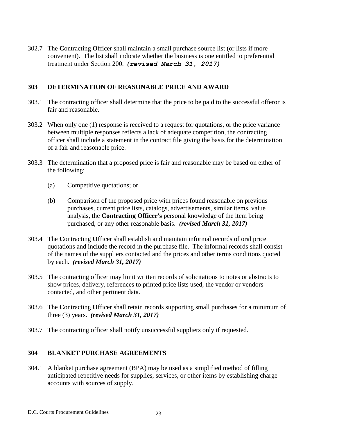302.7 The **C**ontracting **O**fficer shall maintain a small purchase source list (or lists if more convenient). The list shall indicate whether the business is one entitled to preferential treatment under Section 200. *(revised March 31, 2017)*

#### **303 DETERMINATION OF REASONABLE PRICE AND AWARD**

- 303.1 The contracting officer shall determine that the price to be paid to the successful offeror is fair and reasonable.
- 303.2 When only one (1) response is received to a request for quotations, or the price variance between multiple responses reflects a lack of adequate competition, the contracting officer shall include a statement in the contract file giving the basis for the determination of a fair and reasonable price.
- 303.3 The determination that a proposed price is fair and reasonable may be based on either of the following:
	- (a) Competitive quotations; or
	- (b) Comparison of the proposed price with prices found reasonable on previous purchases, current price lists, catalogs, advertisements, similar items, value analysis, the **Contracting Officer's** personal knowledge of the item being purchased, or any other reasonable basis. *(revised March 31, 2017)*
- 303.4 The **C**ontracting **O**fficer shall establish and maintain informal records of oral price quotations and include the record in the purchase file. The informal records shall consist of the names of the suppliers contacted and the prices and other terms conditions quoted by each. *(revised March 31, 2017)*
- 303.5 The contracting officer may limit written records of solicitations to notes or abstracts to show prices, delivery, references to printed price lists used, the vendor or vendors contacted, and other pertinent data.
- 303.6 The **C**ontracting **O**fficer shall retain records supporting small purchases for a minimum of three (3) years. *(revised March 31, 2017)*
- 303.7 The contracting officer shall notify unsuccessful suppliers only if requested.

#### **304 BLANKET PURCHASE AGREEMENTS**

304.1 A blanket purchase agreement (BPA) may be used as a simplified method of filling anticipated repetitive needs for supplies, services, or other items by establishing charge accounts with sources of supply.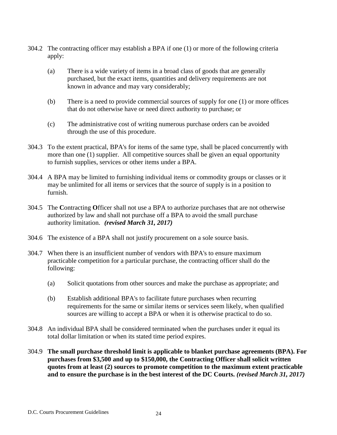- 304.2 The contracting officer may establish a BPA if one (1) or more of the following criteria apply:
	- (a) There is a wide variety of items in a broad class of goods that are generally purchased, but the exact items, quantities and delivery requirements are not known in advance and may vary considerably;
	- (b) There is a need to provide commercial sources of supply for one (1) or more offices that do not otherwise have or need direct authority to purchase; or
	- (c) The administrative cost of writing numerous purchase orders can be avoided through the use of this procedure.
- 304.3 To the extent practical, BPA's for items of the same type, shall be placed concurrently with more than one (1) supplier. All competitive sources shall be given an equal opportunity to furnish supplies, services or other items under a BPA.
- 304.4 A BPA may be limited to furnishing individual items or commodity groups or classes or it may be unlimited for all items or services that the source of supply is in a position to furnish.
- 304.5 The **C**ontracting **O**fficer shall not use a BPA to authorize purchases that are not otherwise authorized by law and shall not purchase off a BPA to avoid the small purchase authority limitation. *(revised March 31, 2017)*
- 304.6 The existence of a BPA shall not justify procurement on a sole source basis.
- 304.7 When there is an insufficient number of vendors with BPA's to ensure maximum practicable competition for a particular purchase, the contracting officer shall do the following:
	- (a) Solicit quotations from other sources and make the purchase as appropriate; and
	- (b) Establish additional BPA's to facilitate future purchases when recurring requirements for the same or similar items or services seem likely, when qualified sources are willing to accept a BPA or when it is otherwise practical to do so.
- 304.8 An individual BPA shall be considered terminated when the purchases under it equal its total dollar limitation or when its stated time period expires.
- 304.9 **The small purchase threshold limit is applicable to blanket purchase agreements (BPA). For purchases from \$3,500 and up to \$150,000, the Contracting Officer shall solicit written quotes from at least (2) sources to promote competition to the maximum extent practicable and to ensure the purchase is in the best interest of the DC Courts.** *(revised March 31, 2017)*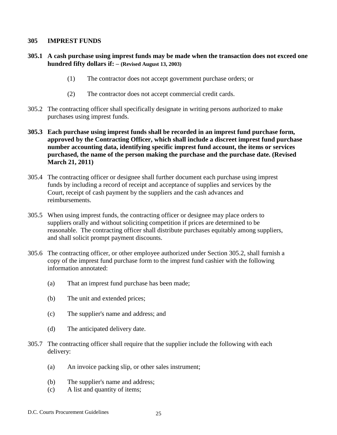#### **305 IMPREST FUNDS**

#### **305.1 A cash purchase using imprest funds may be made when the transaction does not exceed one hundred fifty dollars if: – (Revised August 13, 2003)**

- (1) The contractor does not accept government purchase orders; or
- (2) The contractor does not accept commercial credit cards.
- 305.2 The contracting officer shall specifically designate in writing persons authorized to make purchases using imprest funds.
- **305.3 Each purchase using imprest funds shall be recorded in an imprest fund purchase form, approved by the Contracting Officer, which shall include a discreet imprest fund purchase number accounting data, identifying specific imprest fund account, the items or services purchased, the name of the person making the purchase and the purchase date. (Revised March 21, 2011)**
- 305.4 The contracting officer or designee shall further document each purchase using imprest funds by including a record of receipt and acceptance of supplies and services by the Court, receipt of cash payment by the suppliers and the cash advances and reimbursements.
- 305.5 When using imprest funds, the contracting officer or designee may place orders to suppliers orally and without soliciting competition if prices are determined to be reasonable. The contracting officer shall distribute purchases equitably among suppliers, and shall solicit prompt payment discounts.
- 305.6 The contracting officer, or other employee authorized under Section 305.2, shall furnish a copy of the imprest fund purchase form to the imprest fund cashier with the following information annotated:
	- (a) That an imprest fund purchase has been made;
	- (b) The unit and extended prices;
	- (c) The supplier's name and address; and
	- (d) The anticipated delivery date.
- 305.7 The contracting officer shall require that the supplier include the following with each delivery:
	- (a) An invoice packing slip, or other sales instrument;
	- (b) The supplier's name and address;
	- (c) A list and quantity of items;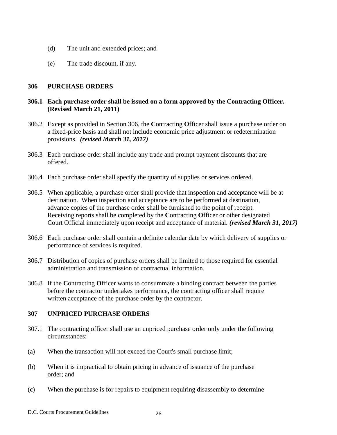- (d) The unit and extended prices; and
- (e) The trade discount, if any.

#### **306 PURCHASE ORDERS**

#### **306.1 Each purchase order shall be issued on a form approved by the Contracting Officer. (Revised March 21, 2011)**

- 306.2 Except as provided in Section 306, the **C**ontracting **O**fficer shall issue a purchase order on a fixed-price basis and shall not include economic price adjustment or redetermination provisions. *(revised March 31, 2017)*
- 306.3 Each purchase order shall include any trade and prompt payment discounts that are offered.
- 306.4 Each purchase order shall specify the quantity of supplies or services ordered.
- 306.5 When applicable, a purchase order shall provide that inspection and acceptance will be at destination. When inspection and acceptance are to be performed at destination, advance copies of the purchase order shall be furnished to the point of receipt. Receiving reports shall be completed by the **C**ontracting **O**fficer or other designated Court Official immediately upon receipt and acceptance of material. *(revised March 31, 2017)*
- 306.6 Each purchase order shall contain a definite calendar date by which delivery of supplies or performance of services is required.
- 306.7 Distribution of copies of purchase orders shall be limited to those required for essential administration and transmission of contractual information.
- 306.8 If the **C**ontracting **O**fficer wants to consummate a binding contract between the parties before the contractor undertakes performance, the contracting officer shall require written acceptance of the purchase order by the contractor.

#### **307 UNPRICED PURCHASE ORDERS**

- 307.1 The contracting officer shall use an unpriced purchase order only under the following circumstances:
- (a) When the transaction will not exceed the Court's small purchase limit;
- (b) When it is impractical to obtain pricing in advance of issuance of the purchase order; and
- (c) When the purchase is for repairs to equipment requiring disassembly to determine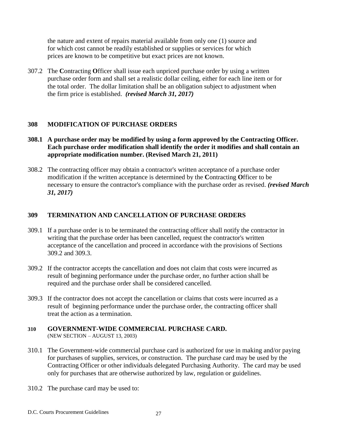the nature and extent of repairs material available from only one (1) source and for which cost cannot be readily established or supplies or services for which prices are known to be competitive but exact prices are not known.

307.2 The **C**ontracting **O**fficer shall issue each unpriced purchase order by using a written purchase order form and shall set a realistic dollar ceiling, either for each line item or for the total order. The dollar limitation shall be an obligation subject to adjustment when the firm price is established. *(revised March 31, 2017)*

#### **308 MODIFICATION OF PURCHASE ORDERS**

- **308.1 A purchase order may be modified by using a form approved by the Contracting Officer. Each purchase order modification shall identify the order it modifies and shall contain an appropriate modification number. (Revised March 21, 2011)**
- 308.2 The contracting officer may obtain a contractor's written acceptance of a purchase order modification if the written acceptance is determined by the **C**ontracting **O**fficer to be necessary to ensure the contractor's compliance with the purchase order as revised. *(revised March 31, 2017)*

#### **309 TERMINATION AND CANCELLATION OF PURCHASE ORDERS**

- 309.1 If a purchase order is to be terminated the contracting officer shall notify the contractor in writing that the purchase order has been cancelled, request the contractor's written acceptance of the cancellation and proceed in accordance with the provisions of Sections 309.2 and 309.3.
- 309.2 If the contractor accepts the cancellation and does not claim that costs were incurred as result of beginning performance under the purchase order, no further action shall be required and the purchase order shall be considered cancelled.
- 309.3 If the contractor does not accept the cancellation or claims that costs were incurred as a result of beginning performance under the purchase order, the contracting officer shall treat the action as a termination.
- **310 GOVERNMENT-WIDE COMMERCIAL PURCHASE CARD.**  (NEW SECTION – AUGUST 13, 2003)
- 310.1 The Government-wide commercial purchase card is authorized for use in making and/or paying for purchases of supplies, services, or construction. The purchase card may be used by the Contracting Officer or other individuals delegated Purchasing Authority. The card may be used only for purchases that are otherwise authorized by law, regulation or guidelines.
- 310.2 The purchase card may be used to: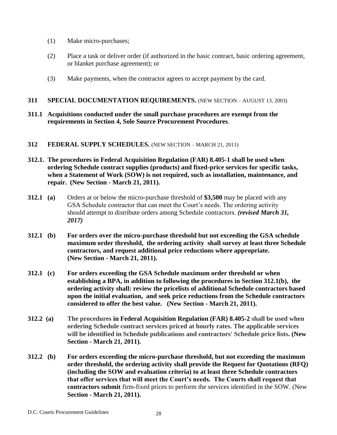- (1) Make micro-purchases;
- (2) Place a task or deliver order (if authorized in the basic contract, basic ordering agreement, or blanket purchase agreement); or
- (3) Make payments, when the contractor agrees to accept payment by the card.

#### **311 SPECIAL DOCUMENTATION REQUIREMENTS.** (NEW SECTION – AUGUST 13, 2003)

**311.1 Acquisitions conducted under the small purchase procedures are exempt from the requirements in Section 4, Sole Source Procurement Procedures**.

#### **312 FEDERAL SUPPLY SCHEDULES.** (NEW SECTION – MARCH 21, 2011)

- **312.1. The procedures in [Federal Acquisition Regulation \(FAR\) 8.405-1](https://www.acquisition.gov/far/current/html/Subpart%208_4.html#wp1089515) shall be used when ordering Schedule contract supplies (products) and fixed-price services for specific tasks, when a Statement of Work (SOW) is not required, such as installation, maintenance, and repair. (New Section - March 21, 2011).**
- **312.1 (a)** Orders at or below the micro-purchase threshold of **\$3,500** may be placed with any GSA Schedule contractor that can meet the Court's needs. The ordering activity should attempt to distribute orders among Schedule contractors. *(revised March 31, 2017)*
- **312.1 (b) For orders over the micro-purchase threshold but not exceeding the GSA schedule maximum order threshold, the ordering activity shall survey at least three Schedule contractors, and request additional price reductions where appropriate. (New Section - March 21, 2011).**
- **312.1 (c) For orders exceeding the GSA Schedule maximum order threshold or when establishing a BPA, in addition to following the procedures in Section 312.1(b), the ordering activity shall: review the pricelists of additional Schedule contractors based upon the initial evaluation, and seek price reductions from the Schedule contractors considered to offer the best value. (New Section - March 21, 2011).**
- **312.2 (a) The procedures in [Federal Acquisition Regulation \(FAR\) 8.405-2](https://www.acquisition.gov/far/current/html/Subpart%208_4.html#wp1091211) shall be used when ordering Schedule contract services priced at hourly rates. The applicable services will be identified in Schedule publications and contractors' Schedule price lists. (New Section - March 21, 2011).**
- **312.2 (b) For orders exceeding the micro-purchase threshold, but not exceeding the maximum order threshold, the ordering activity shall provide the Request for Quotations (RFQ) (including the SOW and evaluation criteria) to at least three Schedule contractors that offer services that will meet the Court's needs. The Courts shall request that contractors submit** firm-fixed prices to perform the services identified in the SOW. (New **Section - March 21, 2011).**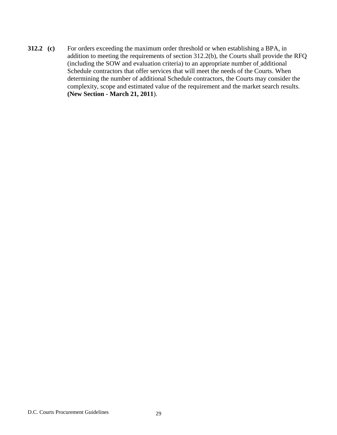**312.2 (c)** For orders exceeding the maximum order threshold or when establishing a BPA, in addition to meeting the requirements of section 312.2(b), the Courts shall provide the RFQ (including the SOW and evaluation criteria) to an appropriate number of additional Schedule contractors that offer services that will meet the needs of the Courts. When determining the number of additional Schedule contractors, the Courts may consider the complexity, scope and estimated value of the requirement and the market search results. **(New Section - March 21, 2011**).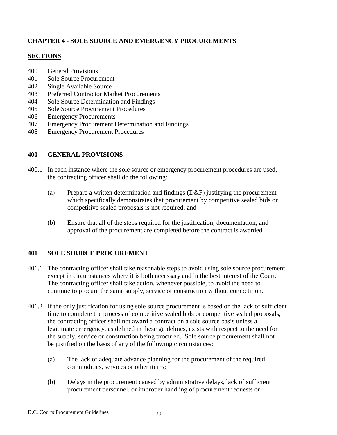### **CHAPTER 4 - SOLE SOURCE AND EMERGENCY PROCUREMENTS**

#### **SECTIONS**

- 400 General Provisions
- 401 Sole Source Procurement
- 402 Single Available Source
- 403 Preferred Contractor Market Procurements
- 404 Sole Source Determination and Findings
- 405 Sole Source Procurement Procedures
- 406 Emergency Procurements
- 407 Emergency Procurement Determination and Findings
- 408 Emergency Procurement Procedures

#### **400 GENERAL PROVISIONS**

- 400.1 In each instance where the sole source or emergency procurement procedures are used, the contracting officer shall do the following:
	- (a) Prepare a written determination and findings (D&F) justifying the procurement which specifically demonstrates that procurement by competitive sealed bids or competitive sealed proposals is not required; and
	- (b) Ensure that all of the steps required for the justification, documentation, and approval of the procurement are completed before the contract is awarded.

#### **401 SOLE SOURCE PROCUREMENT**

- 401.1 The contracting officer shall take reasonable steps to avoid using sole source procurement except in circumstances where it is both necessary and in the best interest of the Court. The contracting officer shall take action, whenever possible, to avoid the need to continue to procure the same supply, service or construction without competition.
- 401.2 If the only justification for using sole source procurement is based on the lack of sufficient time to complete the process of competitive sealed bids or competitive sealed proposals, the contracting officer shall not award a contract on a sole source basis unless a legitimate emergency, as defined in these guidelines, exists with respect to the need for the supply, service or construction being procured. Sole source procurement shall not be justified on the basis of any of the following circumstances:
	- (a) The lack of adequate advance planning for the procurement of the required commodities, services or other items;
	- (b) Delays in the procurement caused by administrative delays, lack of sufficient procurement personnel, or improper handling of procurement requests or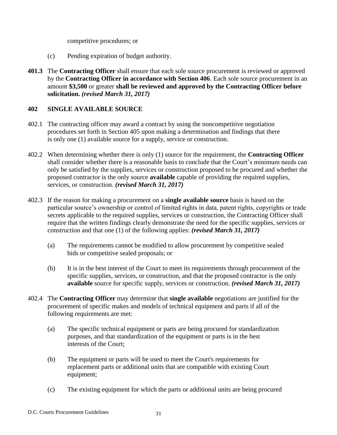competitive procedures; or

- (c) Pending expiration of budget authority.
- **401.3** The **Contracting Officer** shall ensure that each sole source procurement is reviewed or approved by the **Contracting Officer in accordance with Section 406**. Each sole source procurement in an amount **\$3,500** or greater **shall be reviewed and approved by the Contracting Officer before solicitation.** *(revised March 31, 2017)*

### **402 SINGLE AVAILABLE SOURCE**

- 402.1 The contracting officer may award a contract by using the noncompetitive negotiation procedures set forth in Section 405 upon making a determination and findings that there is only one (1) available source for a supply, service or construction.
- 402.2 When determining whether there is only (1) source for the requirement, the **Contracting Officer**  shall consider whether there is a reasonable basis to conclude that the Court's minimum needs can only be satisfied by the supplies, services or construction proposed to be procured and whether the proposed contractor is the only source **available** capable of providing the required supplies, services, or construction. *(revised March 31, 2017)*
- 402.3 If the reason for making a procurement on a **single available source** basis is based on the particular source's ownership or control of limited rights in data, patent rights, copyrights or trade secrets applicable to the required supplies, services or construction, the Contracting Officer shall require that the written findings clearly demonstrate the need for the specific supplies, services or construction and that one (1) of the following applies: *(revised March 31, 2017)*
	- (a) The requirements cannot be modified to allow procurement by competitive sealed bids or competitive sealed proposals; or
	- (b) It is in the best interest of the Court to meet its requirements through procurement of the specific supplies, services, or construction, and that the proposed contractor is the only **available** source for specific supply, services or construction. *(revised March 31, 2017)*
- 402.4 The **Contracting Officer** may determine that **single available** negotiations are justified for the procurement of specific makes and models of technical equipment and parts if all of the following requirements are met:
	- (a) The specific technical equipment or parts are being procured for standardization purposes, and that standardization of the equipment or parts is in the best interests of the Court;
	- (b) The equipment or parts will be used to meet the Court's requirements for replacement parts or additional units that are compatible with existing Court equipment;
	- (c) The existing equipment for which the parts or additional units are being procured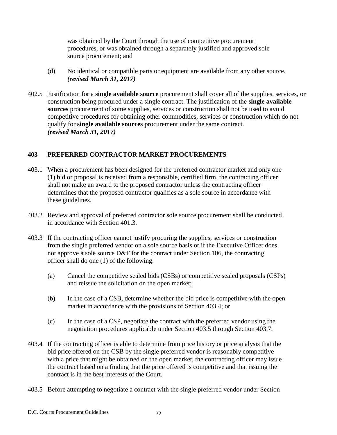was obtained by the Court through the use of competitive procurement procedures, or was obtained through a separately justified and approved sole source procurement; and

- (d) No identical or compatible parts or equipment are available from any other source. *(revised March 31, 2017)*
- 402.5 Justification for a **single available source** procurement shall cover all of the supplies, services, or construction being procured under a single contract. The justification of the **single available sources** procurement of some supplies, services or construction shall not be used to avoid competitive procedures for obtaining other commodities, services or construction which do not qualify for **single available sources** procurement under the same contract. *(revised March 31, 2017)*

# **403 PREFERRED CONTRACTOR MARKET PROCUREMENTS**

- 403.1 When a procurement has been designed for the preferred contractor market and only one (1) bid or proposal is received from a responsible, certified firm, the contracting officer shall not make an award to the proposed contractor unless the contracting officer determines that the proposed contractor qualifies as a sole source in accordance with these guidelines.
- 403.2 Review and approval of preferred contractor sole source procurement shall be conducted in accordance with Section 401.3.
- 403.3 If the contracting officer cannot justify procuring the supplies, services or construction from the single preferred vendor on a sole source basis or if the Executive Officer does not approve a sole source D&F for the contract under Section 106, the contracting officer shall do one (1) of the following:
	- (a) Cancel the competitive sealed bids (CSBs) or competitive sealed proposals (CSPs) and reissue the solicitation on the open market;
	- (b) In the case of a CSB, determine whether the bid price is competitive with the open market in accordance with the provisions of Section 403.4; or
	- (c) In the case of a CSP, negotiate the contract with the preferred vendor using the negotiation procedures applicable under Section 403.5 through Section 403.7.
- 403.4 If the contracting officer is able to determine from price history or price analysis that the bid price offered on the CSB by the single preferred vendor is reasonably competitive with a price that might be obtained on the open market, the contracting officer may issue the contract based on a finding that the price offered is competitive and that issuing the contract is in the best interests of the Court.
- 403.5 Before attempting to negotiate a contract with the single preferred vendor under Section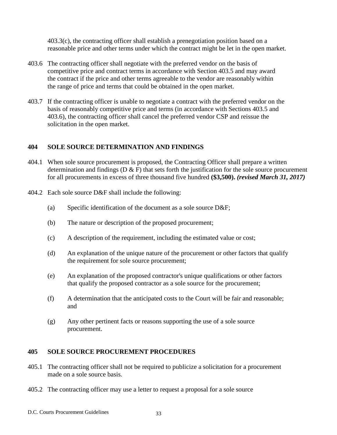403.3(c), the contracting officer shall establish a prenegotiation position based on a reasonable price and other terms under which the contract might be let in the open market.

- 403.6 The contracting officer shall negotiate with the preferred vendor on the basis of competitive price and contract terms in accordance with Section 403.5 and may award the contract if the price and other terms agreeable to the vendor are reasonably within the range of price and terms that could be obtained in the open market.
- 403.7 If the contracting officer is unable to negotiate a contract with the preferred vendor on the basis of reasonably competitive price and terms (in accordance with Sections 403.5 and 403.6), the contracting officer shall cancel the preferred vendor CSP and reissue the solicitation in the open market.

### **404 SOLE SOURCE DETERMINATION AND FINDINGS**

- 404.1 When sole source procurement is proposed, the Contracting Officer shall prepare a written determination and findings ( $D \& F$ ) that sets forth the justification for the sole source procurement for all procurements in excess of three thousand five hundred **(\$3,500).** *(revised March 31, 2017)*
- 404.2 Each sole source D&F shall include the following:
	- (a) Specific identification of the document as a sole source D&F;
	- (b) The nature or description of the proposed procurement;
	- (c) A description of the requirement, including the estimated value or cost;
	- (d) An explanation of the unique nature of the procurement or other factors that qualify the requirement for sole source procurement;
	- (e) An explanation of the proposed contractor's unique qualifications or other factors that qualify the proposed contractor as a sole source for the procurement;
	- (f) A determination that the anticipated costs to the Court will be fair and reasonable; and
	- (g) Any other pertinent facts or reasons supporting the use of a sole source procurement.

#### **405 SOLE SOURCE PROCUREMENT PROCEDURES**

- 405.1 The contracting officer shall not be required to publicize a solicitation for a procurement made on a sole source basis.
- 405.2 The contracting officer may use a letter to request a proposal for a sole source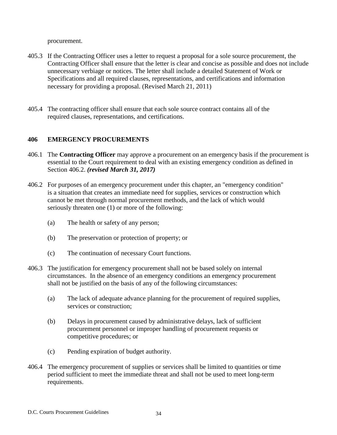procurement.

- 405.3 If the Contracting Officer uses a letter to request a proposal for a sole source procurement, the Contracting Officer shall ensure that the letter is clear and concise as possible and does not include unnecessary verbiage or notices. The letter shall include a detailed Statement of Work or Specifications and all required clauses, representations, and certifications and information necessary for providing a proposal. (Revised March 21, 2011)
- 405.4 The contracting officer shall ensure that each sole source contract contains all of the required clauses, representations, and certifications.

### **406 EMERGENCY PROCUREMENTS**

- 406.1 The **Contracting Officer** may approve a procurement on an emergency basis if the procurement is essential to the Court requirement to deal with an existing emergency condition as defined in Section 406.2. *(revised March 31, 2017)*
- 406.2 For purposes of an emergency procurement under this chapter, an "emergency condition" is a situation that creates an immediate need for supplies, services or construction which cannot be met through normal procurement methods, and the lack of which would seriously threaten one (1) or more of the following:
	- (a) The health or safety of any person;
	- (b) The preservation or protection of property; or
	- (c) The continuation of necessary Court functions.
- 406.3 The justification for emergency procurement shall not be based solely on internal circumstances. In the absence of an emergency conditions an emergency procurement shall not be justified on the basis of any of the following circumstances:
	- (a) The lack of adequate advance planning for the procurement of required supplies, services or construction;
	- (b) Delays in procurement caused by administrative delays, lack of sufficient procurement personnel or improper handling of procurement requests or competitive procedures; or
	- (c) Pending expiration of budget authority.
- 406.4 The emergency procurement of supplies or services shall be limited to quantities or time period sufficient to meet the immediate threat and shall not be used to meet long-term requirements.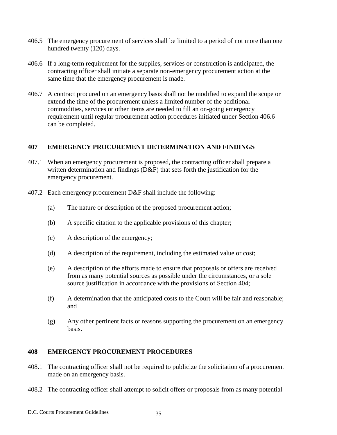- 406.5 The emergency procurement of services shall be limited to a period of not more than one hundred twenty (120) days.
- 406.6 If a long-term requirement for the supplies, services or construction is anticipated, the contracting officer shall initiate a separate non-emergency procurement action at the same time that the emergency procurement is made.
- 406.7 A contract procured on an emergency basis shall not be modified to expand the scope or extend the time of the procurement unless a limited number of the additional commodities, services or other items are needed to fill an on-going emergency requirement until regular procurement action procedures initiated under Section 406.6 can be completed.

#### **407 EMERGENCY PROCUREMENT DETERMINATION AND FINDINGS**

- 407.1 When an emergency procurement is proposed, the contracting officer shall prepare a written determination and findings (D&F) that sets forth the justification for the emergency procurement.
- 407.2 Each emergency procurement D&F shall include the following:
	- (a) The nature or description of the proposed procurement action;
	- (b) A specific citation to the applicable provisions of this chapter;
	- (c) A description of the emergency;
	- (d) A description of the requirement, including the estimated value or cost;
	- (e) A description of the efforts made to ensure that proposals or offers are received from as many potential sources as possible under the circumstances, or a sole source justification in accordance with the provisions of Section 404;
	- (f) A determination that the anticipated costs to the Court will be fair and reasonable; and
	- (g) Any other pertinent facts or reasons supporting the procurement on an emergency basis.

#### **408 EMERGENCY PROCUREMENT PROCEDURES**

- 408.1 The contracting officer shall not be required to publicize the solicitation of a procurement made on an emergency basis.
- 408.2 The contracting officer shall attempt to solicit offers or proposals from as many potential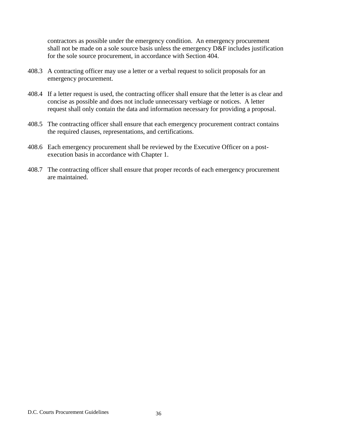contractors as possible under the emergency condition. An emergency procurement shall not be made on a sole source basis unless the emergency D&F includes justification for the sole source procurement, in accordance with Section 404.

- 408.3 A contracting officer may use a letter or a verbal request to solicit proposals for an emergency procurement.
- 408.4 If a letter request is used, the contracting officer shall ensure that the letter is as clear and concise as possible and does not include unnecessary verbiage or notices. A letter request shall only contain the data and information necessary for providing a proposal.
- 408.5 The contracting officer shall ensure that each emergency procurement contract contains the required clauses, representations, and certifications.
- 408.6 Each emergency procurement shall be reviewed by the Executive Officer on a postexecution basis in accordance with Chapter 1.
- 408.7 The contracting officer shall ensure that proper records of each emergency procurement are maintained.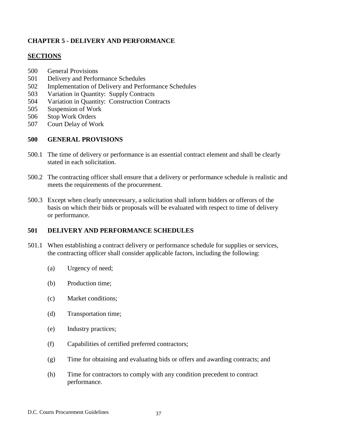# **CHAPTER 5 - DELIVERY AND PERFORMANCE**

### **SECTIONS**

- 500 General Provisions
- 501 Delivery and Performance Schedules
- 502 Implementation of Delivery and Performance Schedules
- 503 Variation in Quantity: Supply Contracts
- 504 Variation in Quantity: Construction Contracts
- 505 Suspension of Work
- 506 Stop Work Orders
- 507 Court Delay of Work

# **500 GENERAL PROVISIONS**

- 500.1 The time of delivery or performance is an essential contract element and shall be clearly stated in each solicitation.
- 500.2 The contracting officer shall ensure that a delivery or performance schedule is realistic and meets the requirements of the procurement.
- 500.3 Except when clearly unnecessary, a solicitation shall inform bidders or offerors of the basis on which their bids or proposals will be evaluated with respect to time of delivery or performance.

# **501 DELIVERY AND PERFORMANCE SCHEDULES**

- 501.1 When establishing a contract delivery or performance schedule for supplies or services, the contracting officer shall consider applicable factors, including the following:
	- (a) Urgency of need;
	- (b) Production time;
	- (c) Market conditions;
	- (d) Transportation time;
	- (e) Industry practices;
	- (f) Capabilities of certified preferred contractors;
	- (g) Time for obtaining and evaluating bids or offers and awarding contracts; and
	- (h) Time for contractors to comply with any condition precedent to contract performance.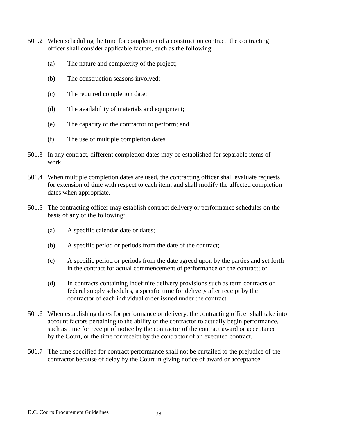- 501.2 When scheduling the time for completion of a construction contract, the contracting officer shall consider applicable factors, such as the following:
	- (a) The nature and complexity of the project;
	- (b) The construction seasons involved;
	- (c) The required completion date;
	- (d) The availability of materials and equipment;
	- (e) The capacity of the contractor to perform; and
	- (f) The use of multiple completion dates.
- 501.3 In any contract, different completion dates may be established for separable items of work.
- 501.4 When multiple completion dates are used, the contracting officer shall evaluate requests for extension of time with respect to each item, and shall modify the affected completion dates when appropriate.
- 501.5 The contracting officer may establish contract delivery or performance schedules on the basis of any of the following:
	- (a) A specific calendar date or dates;
	- (b) A specific period or periods from the date of the contract;
	- (c) A specific period or periods from the date agreed upon by the parties and set forth in the contract for actual commencement of performance on the contract; or
	- (d) In contracts containing indefinite delivery provisions such as term contracts or federal supply schedules, a specific time for delivery after receipt by the contractor of each individual order issued under the contract.
- 501.6 When establishing dates for performance or delivery, the contracting officer shall take into account factors pertaining to the ability of the contractor to actually begin performance, such as time for receipt of notice by the contractor of the contract award or acceptance by the Court, or the time for receipt by the contractor of an executed contract.
- 501.7 The time specified for contract performance shall not be curtailed to the prejudice of the contractor because of delay by the Court in giving notice of award or acceptance.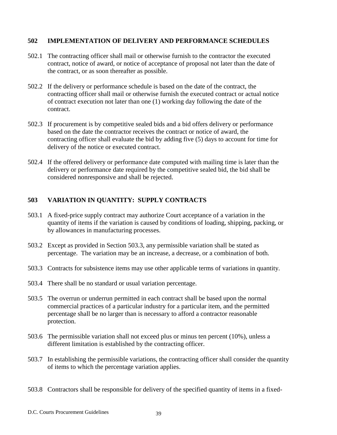### **502 IMPLEMENTATION OF DELIVERY AND PERFORMANCE SCHEDULES**

- 502.1 The contracting officer shall mail or otherwise furnish to the contractor the executed contract, notice of award, or notice of acceptance of proposal not later than the date of the contract, or as soon thereafter as possible.
- 502.2 If the delivery or performance schedule is based on the date of the contract, the contracting officer shall mail or otherwise furnish the executed contract or actual notice of contract execution not later than one (1) working day following the date of the contract.
- 502.3 If procurement is by competitive sealed bids and a bid offers delivery or performance based on the date the contractor receives the contract or notice of award, the contracting officer shall evaluate the bid by adding five (5) days to account for time for delivery of the notice or executed contract.
- 502.4 If the offered delivery or performance date computed with mailing time is later than the delivery or performance date required by the competitive sealed bid, the bid shall be considered nonresponsive and shall be rejected.

# **503 VARIATION IN QUANTITY: SUPPLY CONTRACTS**

- 503.1 A fixed-price supply contract may authorize Court acceptance of a variation in the quantity of items if the variation is caused by conditions of loading, shipping, packing, or by allowances in manufacturing processes.
- 503.2 Except as provided in Section 503.3, any permissible variation shall be stated as percentage. The variation may be an increase, a decrease, or a combination of both.
- 503.3 Contracts for subsistence items may use other applicable terms of variations in quantity.
- 503.4 There shall be no standard or usual variation percentage.
- 503.5 The overrun or underrun permitted in each contract shall be based upon the normal commercial practices of a particular industry for a particular item, and the permitted percentage shall be no larger than is necessary to afford a contractor reasonable protection.
- 503.6 The permissible variation shall not exceed plus or minus ten percent (10%), unless a different limitation is established by the contracting officer.
- 503.7 In establishing the permissible variations, the contracting officer shall consider the quantity of items to which the percentage variation applies.
- 503.8 Contractors shall be responsible for delivery of the specified quantity of items in a fixed-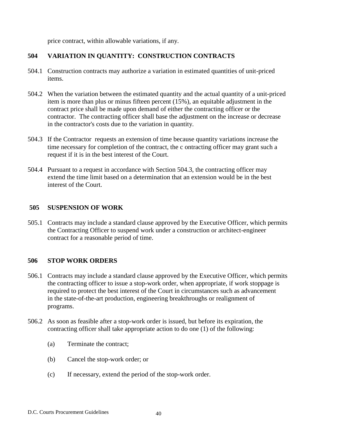price contract, within allowable variations, if any.

### **504 VARIATION IN QUANTITY: CONSTRUCTION CONTRACTS**

- 504.1 Construction contracts may authorize a variation in estimated quantities of unit-priced items.
- 504.2 When the variation between the estimated quantity and the actual quantity of a unit-priced item is more than plus or minus fifteen percent (15%), an equitable adjustment in the contract price shall be made upon demand of either the contracting officer or the contractor. The contracting officer shall base the adjustment on the increase or decrease in the contractor's costs due to the variation in quantity.
- 504.3 If the Contractor requests an extension of time because quantity variations increase the time necessary for completion of the contract, the c ontracting officer may grant such a request if it is in the best interest of the Court.
- 504.4 Pursuant to a request in accordance with Section 504.3, the contracting officer may extend the time limit based on a determination that an extension would be in the best interest of the Court.

#### **505 SUSPENSION OF WORK**

505.1 Contracts may include a standard clause approved by the Executive Officer, which permits the Contracting Officer to suspend work under a construction or architect-engineer contract for a reasonable period of time.

#### **506 STOP WORK ORDERS**

- 506.1 Contracts may include a standard clause approved by the Executive Officer, which permits the contracting officer to issue a stop-work order, when appropriate, if work stoppage is required to protect the best interest of the Court in circumstances such as advancement in the state-of-the-art production, engineering breakthroughs or realignment of programs.
- 506.2 As soon as feasible after a stop-work order is issued, but before its expiration, the contracting officer shall take appropriate action to do one (1) of the following:
	- (a) Terminate the contract;
	- (b) Cancel the stop-work order; or
	- (c) If necessary, extend the period of the stop-work order.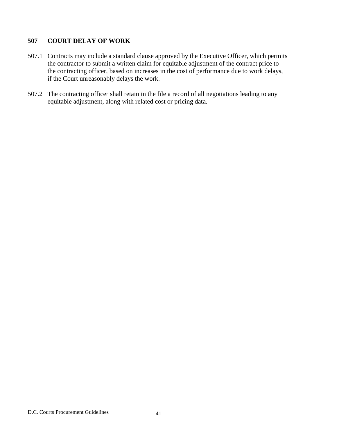# **507 COURT DELAY OF WORK**

- 507.1 Contracts may include a standard clause approved by the Executive Officer, which permits the contractor to submit a written claim for equitable adjustment of the contract price to the contracting officer, based on increases in the cost of performance due to work delays, if the Court unreasonably delays the work.
- 507.2 The contracting officer shall retain in the file a record of all negotiations leading to any equitable adjustment, along with related cost or pricing data.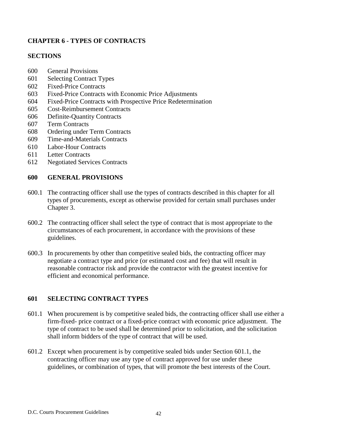# **CHAPTER 6 - TYPES OF CONTRACTS**

### **SECTIONS**

- 600 General Provisions
- 601 Selecting Contract Types
- 602 Fixed-Price Contracts
- 603 Fixed-Price Contracts with Economic Price Adjustments
- 604 Fixed-Price Contracts with Prospective Price Redetermination
- 605 Cost-Reimbursement Contracts
- 606 Definite-Quantity Contracts
- 607 Term Contracts
- 608 Ordering under Term Contracts
- 609 Time-and-Materials Contracts
- 610 Labor-Hour Contracts
- 611 Letter Contracts
- 612 Negotiated Services Contracts

### **600 GENERAL PROVISIONS**

- 600.1 The contracting officer shall use the types of contracts described in this chapter for all types of procurements, except as otherwise provided for certain small purchases under Chapter 3.
- 600.2 The contracting officer shall select the type of contract that is most appropriate to the circumstances of each procurement, in accordance with the provisions of these guidelines.
- 600.3 In procurements by other than competitive sealed bids, the contracting officer may negotiate a contract type and price (or estimated cost and fee) that will result in reasonable contractor risk and provide the contractor with the greatest incentive for efficient and economical performance.

# **601 SELECTING CONTRACT TYPES**

- 601.1 When procurement is by competitive sealed bids, the contracting officer shall use either a firm-fixed- price contract or a fixed-price contract with economic price adjustment. The type of contract to be used shall be determined prior to solicitation, and the solicitation shall inform bidders of the type of contract that will be used.
- 601.2 Except when procurement is by competitive sealed bids under Section 601.1, the contracting officer may use any type of contract approved for use under these guidelines, or combination of types, that will promote the best interests of the Court.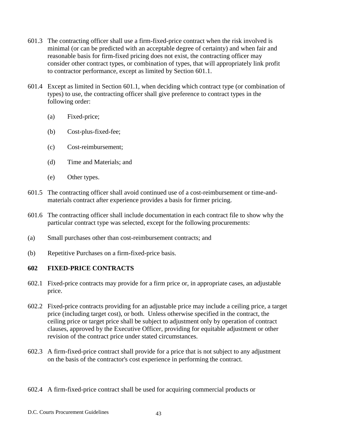- 601.3 The contracting officer shall use a firm-fixed-price contract when the risk involved is minimal (or can be predicted with an acceptable degree of certainty) and when fair and reasonable basis for firm-fixed pricing does not exist, the contracting officer may consider other contract types, or combination of types, that will appropriately link profit to contractor performance, except as limited by Section 601.1.
- 601.4 Except as limited in Section 601.1, when deciding which contract type (or combination of types) to use, the contracting officer shall give preference to contract types in the following order:
	- (a) Fixed-price;
	- (b) Cost-plus-fixed-fee;
	- (c) Cost-reimbursement;
	- (d) Time and Materials; and
	- (e) Other types.
- 601.5 The contracting officer shall avoid continued use of a cost-reimbursement or time-andmaterials contract after experience provides a basis for firmer pricing.
- 601.6 The contracting officer shall include documentation in each contract file to show why the particular contract type was selected, except for the following procurements:
- (a) Small purchases other than cost-reimbursement contracts; and
- (b) Repetitive Purchases on a firm-fixed-price basis.

#### **602 FIXED-PRICE CONTRACTS**

- 602.1 Fixed-price contracts may provide for a firm price or, in appropriate cases, an adjustable price.
- 602.2 Fixed-price contracts providing for an adjustable price may include a ceiling price, a target price (including target cost), or both. Unless otherwise specified in the contract, the ceiling price or target price shall be subject to adjustment only by operation of contract clauses, approved by the Executive Officer, providing for equitable adjustment or other revision of the contract price under stated circumstances.
- 602.3 A firm-fixed-price contract shall provide for a price that is not subject to any adjustment on the basis of the contractor's cost experience in performing the contract.
- 602.4 A firm-fixed-price contract shall be used for acquiring commercial products or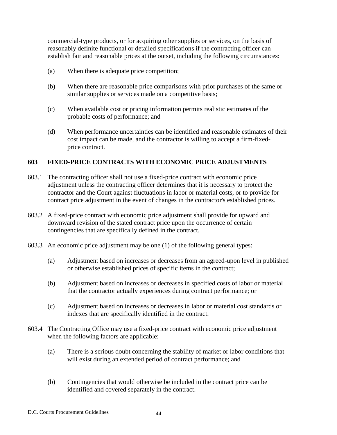commercial-type products, or for acquiring other supplies or services, on the basis of reasonably definite functional or detailed specifications if the contracting officer can establish fair and reasonable prices at the outset, including the following circumstances:

- (a) When there is adequate price competition;
- (b) When there are reasonable price comparisons with prior purchases of the same or similar supplies or services made on a competitive basis;
- (c) When available cost or pricing information permits realistic estimates of the probable costs of performance; and
- (d) When performance uncertainties can be identified and reasonable estimates of their cost impact can be made, and the contractor is willing to accept a firm-fixedprice contract.

# **603 FIXED-PRICE CONTRACTS WITH ECONOMIC PRICE ADJUSTMENTS**

- 603.1 The contracting officer shall not use a fixed-price contract with economic price adjustment unless the contracting officer determines that it is necessary to protect the contractor and the Court against fluctuations in labor or material costs, or to provide for contract price adjustment in the event of changes in the contractor's established prices.
- 603.2 A fixed-price contract with economic price adjustment shall provide for upward and downward revision of the stated contract price upon the occurrence of certain contingencies that are specifically defined in the contract.
- 603.3 An economic price adjustment may be one (1) of the following general types:
	- (a) Adjustment based on increases or decreases from an agreed-upon level in published or otherwise established prices of specific items in the contract;
	- (b) Adjustment based on increases or decreases in specified costs of labor or material that the contractor actually experiences during contract performance; or
	- (c) Adjustment based on increases or decreases in labor or material cost standards or indexes that are specifically identified in the contract.
- 603.4 The Contracting Office may use a fixed-price contract with economic price adjustment when the following factors are applicable:
	- (a) There is a serious doubt concerning the stability of market or labor conditions that will exist during an extended period of contract performance; and
	- (b) Contingencies that would otherwise be included in the contract price can be identified and covered separately in the contract.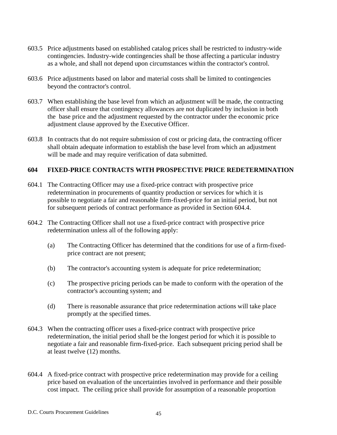- 603.5 Price adjustments based on established catalog prices shall be restricted to industry-wide contingencies. Industry-wide contingencies shall be those affecting a particular industry as a whole, and shall not depend upon circumstances within the contractor's control.
- 603.6 Price adjustments based on labor and material costs shall be limited to contingencies beyond the contractor's control.
- 603.7 When establishing the base level from which an adjustment will be made, the contracting officer shall ensure that contingency allowances are not duplicated by inclusion in both the base price and the adjustment requested by the contractor under the economic price adjustment clause approved by the Executive Officer.
- 603.8 In contracts that do not require submission of cost or pricing data, the contracting officer shall obtain adequate information to establish the base level from which an adjustment will be made and may require verification of data submitted.

### **604 FIXED-PRICE CONTRACTS WITH PROSPECTIVE PRICE REDETERMINATION**

- 604.1 The Contracting Officer may use a fixed-price contract with prospective price redetermination in procurements of quantity production or services for which it is possible to negotiate a fair and reasonable firm-fixed-price for an initial period, but not for subsequent periods of contract performance as provided in Section 604.4.
- 604.2 The Contracting Officer shall not use a fixed-price contract with prospective price redetermination unless all of the following apply:
	- (a) The Contracting Officer has determined that the conditions for use of a firm-fixedprice contract are not present;
	- (b) The contractor's accounting system is adequate for price redetermination;
	- (c) The prospective pricing periods can be made to conform with the operation of the contractor's accounting system; and
	- (d) There is reasonable assurance that price redetermination actions will take place promptly at the specified times.
- 604.3 When the contracting officer uses a fixed-price contract with prospective price redetermination, the initial period shall be the longest period for which it is possible to negotiate a fair and reasonable firm-fixed-price. Each subsequent pricing period shall be at least twelve (12) months.
- 604.4 A fixed-price contract with prospective price redetermination may provide for a ceiling price based on evaluation of the uncertainties involved in performance and their possible cost impact. The ceiling price shall provide for assumption of a reasonable proportion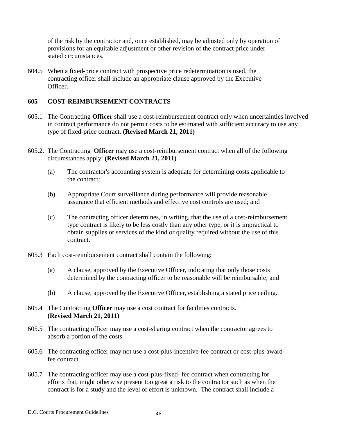of the risk by the contractor and, once established, may be adjusted only by operation of provisions for an equitable adjustment or other revision of the contract price under stated circumstances.

604.5 When a fixed-price contract with prospective price redetermination is used, the contracting officer shall include an appropriate clause approved by the Executive Officer.

## **605 COST-REIMBURSEMENT CONTRACTS**

- 605.1 The Contracting **Officer** shall use a cost-reimbursement contract only when uncertainties involved in contract performance do not permit costs to be estimated with sufficient accuracy to use any type of fixed-price contract. **(Revised March 21, 2011)**
- 605.2. The Contracting **Officer** may use a cost-reimbursement contract when all of the following circumstances apply: **(Revised March 21, 2011)**
	- (a) The contractor's accounting system is adequate for determining costs applicable to the contract;
	- (b) Appropriate Court surveillance during performance will provide reasonable assurance that efficient methods and effective cost controls are used; and
	- (c) The contracting officer determines, in writing, that the use of a cost-reimbursement type contract is likely to be less costly than any other type, or it is impractical to obtain supplies or services of the kind or quality required without the use of this contract.
- 605.3 Each cost-reimbursement contract shall contain the following:
	- (a) A clause, approved by the Executive Officer, indicating that only those costs determined by the contracting officer to be reasonable will be reimbursable; and
	- (b) A clause, approved by the Executive Officer, establishing a stated price ceiling.
- 605.4 The Contracting **Officer** may use a cost contract for facilities contracts. **(Revised March 21, 2011)**
- 605.5 The contracting officer may use a cost-sharing contract when the contractor agrees to absorb a portion of the costs.
- 605.6 The contracting officer may not use a cost-plus-incentive-fee contract or cost-plus-awardfee contract.
- 605.7 The contracting officer may use a cost-plus-fixed- fee contract when contracting for efforts that, might otherwise present too great a risk to the contractor such as when the contract is for a study and the level of effort is unknown. The contract shall include a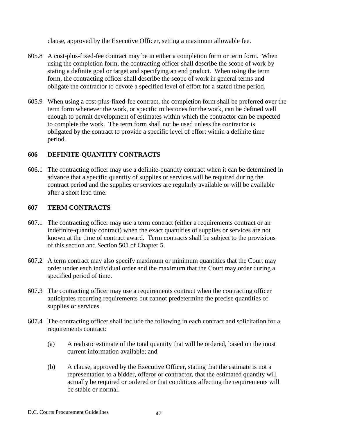clause, approved by the Executive Officer, setting a maximum allowable fee.

- 605.8 A cost-plus-fixed-fee contract may be in either a completion form or term form. When using the completion form, the contracting officer shall describe the scope of work by stating a definite goal or target and specifying an end product. When using the term form, the contracting officer shall describe the scope of work in general terms and obligate the contractor to devote a specified level of effort for a stated time period.
- 605.9 When using a cost-plus-fixed-fee contract, the completion form shall be preferred over the term form whenever the work, or specific milestones for the work, can be defined well enough to permit development of estimates within which the contractor can be expected to complete the work. The term form shall not be used unless the contractor is obligated by the contract to provide a specific level of effort within a definite time period.

### **606 DEFINITE-QUANTITY CONTRACTS**

606.1 The contracting officer may use a definite-quantity contract when it can be determined in advance that a specific quantity of supplies or services will be required during the contract period and the supplies or services are regularly available or will be available after a short lead time.

#### **607 TERM CONTRACTS**

- 607.1 The contracting officer may use a term contract (either a requirements contract or an indefinite-quantity contract) when the exact quantities of supplies or services are not known at the time of contract award. Term contracts shall be subject to the provisions of this section and Section 501 of Chapter 5.
- 607.2 A term contract may also specify maximum or minimum quantities that the Court may order under each individual order and the maximum that the Court may order during a specified period of time.
- 607.3 The contracting officer may use a requirements contract when the contracting officer anticipates recurring requirements but cannot predetermine the precise quantities of supplies or services.
- 607.4 The contracting officer shall include the following in each contract and solicitation for a requirements contract:
	- (a) A realistic estimate of the total quantity that will be ordered, based on the most current information available; and
	- (b) A clause, approved by the Executive Officer, stating that the estimate is not a representation to a bidder, offeror or contractor, that the estimated quantity will actually be required or ordered or that conditions affecting the requirements will be stable or normal.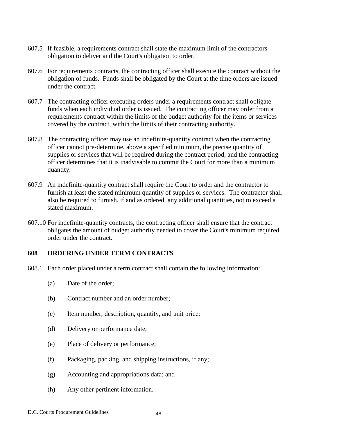- 607.5 If feasible, a requirements contract shall state the maximum limit of the contractors obligation to deliver and the Court's obligation to order.
- 607.6 For requirements contracts, the contracting officer shall execute the contract without the obligation of funds. Funds shall be obligated by the Court at the time orders are issued under the contract.
- 607.7 The contracting officer executing orders under a requirements contract shall obligate funds when each individual order is issued. The contracting officer may order from a requirements contract within the limits of the budget authority for the items or services covered by the contract, within the limits of their contracting authority.
- 607.8 The contracting officer may use an indefinite-quantity contract when the contracting officer cannot pre-determine, above a specified minimum, the precise quantity of supplies or services that will be required during the contract period, and the contracting officer determines that it is inadvisable to commit the Court for more than a minimum quantity.
- 607.9 An indefinite-quantity contract shall require the Court to order and the contractor to furnish at least the stated minimum quantity of supplies or services. The contractor shall also be required to furnish, if and as ordered, any additional quantities, not to exceed a stated maximum.
- 607.10 For indefinite-quantity contracts, the contracting officer shall ensure that the contract obligates the amount of budget authority needed to cover the Court's minimum required order under the contract.

#### **608 ORDERING UNDER TERM CONTRACTS**

- 608.1 Each order placed under a term contract shall contain the following information:
	- (a) Date of the order;
	- (b) Contract number and an order number;
	- (c) Item number, description, quantity, and unit price;
	- (d) Delivery or performance date;
	- (e) Place of delivery or performance;
	- (f) Packaging, packing, and shipping instructions, if any;
	- (g) Accounting and appropriations data; and
	- (h) Any other pertinent information.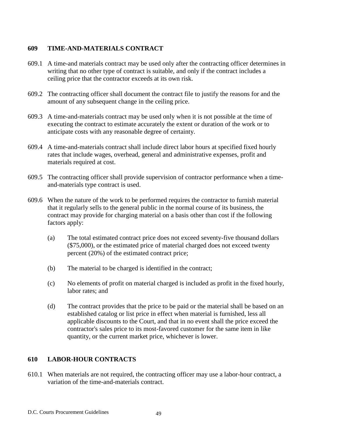# **609 TIME-AND-MATERIALS CONTRACT**

- 609.1 A time-and materials contract may be used only after the contracting officer determines in writing that no other type of contract is suitable, and only if the contract includes a ceiling price that the contractor exceeds at its own risk.
- 609.2 The contracting officer shall document the contract file to justify the reasons for and the amount of any subsequent change in the ceiling price.
- 609.3 A time-and-materials contract may be used only when it is not possible at the time of executing the contract to estimate accurately the extent or duration of the work or to anticipate costs with any reasonable degree of certainty.
- 609.4 A time-and-materials contract shall include direct labor hours at specified fixed hourly rates that include wages, overhead, general and administrative expenses, profit and materials required at cost.
- 609.5 The contracting officer shall provide supervision of contractor performance when a timeand-materials type contract is used.
- 609.6 When the nature of the work to be performed requires the contractor to furnish material that it regularly sells to the general public in the normal course of its business, the contract may provide for charging material on a basis other than cost if the following factors apply:
	- (a) The total estimated contract price does not exceed seventy-five thousand dollars (\$75,000), or the estimated price of material charged does not exceed twenty percent (20%) of the estimated contract price;
	- (b) The material to be charged is identified in the contract;
	- (c) No elements of profit on material charged is included as profit in the fixed hourly, labor rates; and
	- (d) The contract provides that the price to be paid or the material shall be based on an established catalog or list price in effect when material is furnished, less all applicable discounts to the Court, and that in no event shall the price exceed the contractor's sales price to its most-favored customer for the same item in like quantity, or the current market price, whichever is lower.

# **610 LABOR-HOUR CONTRACTS**

610.1 When materials are not required, the contracting officer may use a labor-hour contract, a variation of the time-and-materials contract.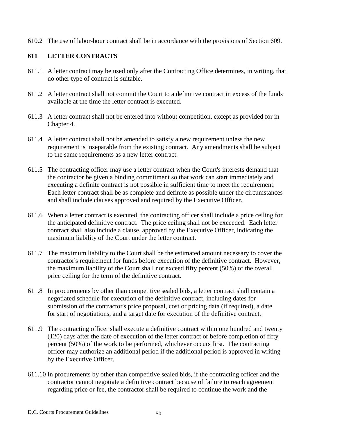610.2 The use of labor-hour contract shall be in accordance with the provisions of Section 609.

# **611 LETTER CONTRACTS**

- 611.1 A letter contract may be used only after the Contracting Office determines, in writing, that no other type of contract is suitable.
- 611.2 A letter contract shall not commit the Court to a definitive contract in excess of the funds available at the time the letter contract is executed.
- 611.3 A letter contract shall not be entered into without competition, except as provided for in Chapter 4.
- 611.4 A letter contract shall not be amended to satisfy a new requirement unless the new requirement is inseparable from the existing contract. Any amendments shall be subject to the same requirements as a new letter contract.
- 611.5 The contracting officer may use a letter contract when the Court's interests demand that the contractor be given a binding commitment so that work can start immediately and executing a definite contract is not possible in sufficient time to meet the requirement. Each letter contract shall be as complete and definite as possible under the circumstances and shall include clauses approved and required by the Executive Officer.
- 611.6 When a letter contract is executed, the contracting officer shall include a price ceiling for the anticipated definitive contract. The price ceiling shall not be exceeded. Each letter contract shall also include a clause, approved by the Executive Officer, indicating the maximum liability of the Court under the letter contract.
- 611.7 The maximum liability to the Court shall be the estimated amount necessary to cover the contractor's requirement for funds before execution of the definitive contract. However, the maximum liability of the Court shall not exceed fifty percent (50%) of the overall price ceiling for the term of the definitive contract.
- 611.8 In procurements by other than competitive sealed bids, a letter contract shall contain a negotiated schedule for execution of the definitive contract, including dates for submission of the contractor's price proposal, cost or pricing data (if required), a date for start of negotiations, and a target date for execution of the definitive contract.
- 611.9 The contracting officer shall execute a definitive contract within one hundred and twenty (120) days after the date of execution of the letter contract or before completion of fifty percent (50%) of the work to be performed, whichever occurs first. The contracting officer may authorize an additional period if the additional period is approved in writing by the Executive Officer.
- 611.10 In procurements by other than competitive sealed bids, if the contracting officer and the contractor cannot negotiate a definitive contract because of failure to reach agreement regarding price or fee, the contractor shall be required to continue the work and the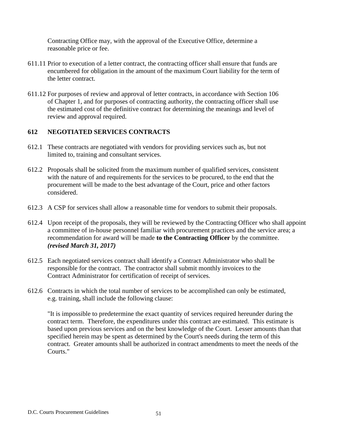Contracting Office may, with the approval of the Executive Office, determine a reasonable price or fee.

- 611.11 Prior to execution of a letter contract, the contracting officer shall ensure that funds are encumbered for obligation in the amount of the maximum Court liability for the term of the letter contract.
- 611.12 For purposes of review and approval of letter contracts, in accordance with Section 106 of Chapter 1, and for purposes of contracting authority, the contracting officer shall use the estimated cost of the definitive contract for determining the meanings and level of review and approval required.

# **612 NEGOTIATED SERVICES CONTRACTS**

- 612.1 These contracts are negotiated with vendors for providing services such as, but not limited to, training and consultant services.
- 612.2 Proposals shall be solicited from the maximum number of qualified services, consistent with the nature of and requirements for the services to be procured, to the end that the procurement will be made to the best advantage of the Court, price and other factors considered.
- 612.3 A CSP for services shall allow a reasonable time for vendors to submit their proposals.
- 612.4 Upon receipt of the proposals, they will be reviewed by the Contracting Officer who shall appoint a committee of in-house personnel familiar with procurement practices and the service area; a recommendation for award will be made **to the Contracting Officer** by the committee. *(revised March 31, 2017)*
- 612.5 Each negotiated services contract shall identify a Contract Administrator who shall be responsible for the contract. The contractor shall submit monthly invoices to the Contract Administrator for certification of receipt of services.
- 612.6 Contracts in which the total number of services to be accomplished can only be estimated, e.g. training, shall include the following clause:

"It is impossible to predetermine the exact quantity of services required hereunder during the contract term. Therefore, the expenditures under this contract are estimated. This estimate is based upon previous services and on the best knowledge of the Court. Lesser amounts than that specified herein may be spent as determined by the Court's needs during the term of this contract. Greater amounts shall be authorized in contract amendments to meet the needs of the Courts."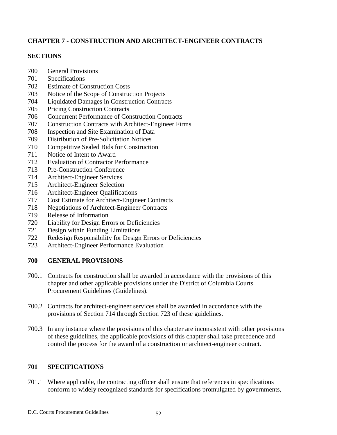# **CHAPTER 7 - CONSTRUCTION AND ARCHITECT-ENGINEER CONTRACTS**

### **SECTIONS**

- General Provisions
- Specifications
- Estimate of Construction Costs
- Notice of the Scope of Construction Projects
- Liquidated Damages in Construction Contracts
- Pricing Construction Contracts
- Concurrent Performance of Construction Contracts
- Construction Contracts with Architect-Engineer Firms
- Inspection and Site Examination of Data
- Distribution of Pre-Solicitation Notices
- Competitive Sealed Bids for Construction
- Notice of Intent to Award
- Evaluation of Contractor Performance
- Pre-Construction Conference
- Architect-Engineer Services
- Architect-Engineer Selection
- Architect-Engineer Qualifications
- Cost Estimate for Architect-Engineer Contracts
- Negotiations of Architect-Engineer Contracts
- Release of Information
- Liability for Design Errors or Deficiencies
- Design within Funding Limitations
- Redesign Responsibility for Design Errors or Deficiencies
- Architect-Engineer Performance Evaluation

# **GENERAL PROVISIONS**

- 700.1 Contracts for construction shall be awarded in accordance with the provisions of this chapter and other applicable provisions under the District of Columbia Courts Procurement Guidelines (Guidelines).
- 700.2 Contracts for architect-engineer services shall be awarded in accordance with the provisions of Section 714 through Section 723 of these guidelines.
- 700.3 In any instance where the provisions of this chapter are inconsistent with other provisions of these guidelines, the applicable provisions of this chapter shall take precedence and control the process for the award of a construction or architect-engineer contract.

# **SPECIFICATIONS**

701.1 Where applicable, the contracting officer shall ensure that references in specifications conform to widely recognized standards for specifications promulgated by governments,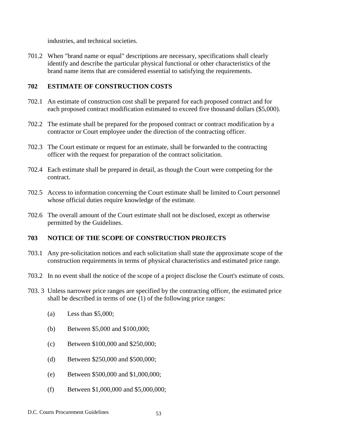industries, and technical societies.

701.2 When "brand name or equal" descriptions are necessary, specifications shall clearly identify and describe the particular physical functional or other characteristics of the brand name items that are considered essential to satisfying the requirements.

# **702 ESTIMATE OF CONSTRUCTION COSTS**

- 702.1 An estimate of construction cost shall be prepared for each proposed contract and for each proposed contract modification estimated to exceed five thousand dollars (\$5,000).
- 702.2 The estimate shall be prepared for the proposed contract or contract modification by a contractor or Court employee under the direction of the contracting officer.
- 702.3 The Court estimate or request for an estimate, shall be forwarded to the contracting officer with the request for preparation of the contract solicitation.
- 702.4 Each estimate shall be prepared in detail, as though the Court were competing for the contract.
- 702.5 Access to information concerning the Court estimate shall be limited to Court personnel whose official duties require knowledge of the estimate.
- 702.6 The overall amount of the Court estimate shall not be disclosed, except as otherwise permitted by the Guidelines.

#### **703 NOTICE OF THE SCOPE OF CONSTRUCTION PROJECTS**

- 703.1 Any pre-solicitation notices and each solicitation shall state the approximate scope of the construction requirements in terms of physical characteristics and estimated price range.
- 703.2 In no event shall the notice of the scope of a project disclose the Court's estimate of costs.
- 703. 3 Unless narrower price ranges are specified by the contracting officer, the estimated price shall be described in terms of one (1) of the following price ranges:
	- (a) Less than \$5,000;
	- (b) Between \$5,000 and \$100,000;
	- (c) Between \$100,000 and \$250,000;
	- (d) Between \$250,000 and \$500,000;
	- (e) Between \$500,000 and \$1,000,000;
	- (f) Between \$1,000,000 and \$5,000,000;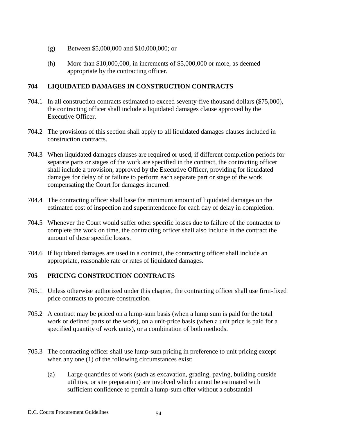- (g) Between \$5,000,000 and \$10,000,000; or
- (h) More than \$10,000,000, in increments of \$5,000,000 or more, as deemed appropriate by the contracting officer.

# **704 LIQUIDATED DAMAGES IN CONSTRUCTION CONTRACTS**

- 704.1 In all construction contracts estimated to exceed seventy-five thousand dollars (\$75,000), the contracting officer shall include a liquidated damages clause approved by the Executive Officer.
- 704.2 The provisions of this section shall apply to all liquidated damages clauses included in construction contracts.
- 704.3 When liquidated damages clauses are required or used, if different completion periods for separate parts or stages of the work are specified in the contract, the contracting officer shall include a provision, approved by the Executive Officer, providing for liquidated damages for delay of or failure to perform each separate part or stage of the work compensating the Court for damages incurred.
- 704.4 The contracting officer shall base the minimum amount of liquidated damages on the estimated cost of inspection and superintendence for each day of delay in completion.
- 704.5 Whenever the Court would suffer other specific losses due to failure of the contractor to complete the work on time, the contracting officer shall also include in the contract the amount of these specific losses.
- 704.6 If liquidated damages are used in a contract, the contracting officer shall include an appropriate, reasonable rate or rates of liquidated damages.

# **705 PRICING CONSTRUCTION CONTRACTS**

- 705.1 Unless otherwise authorized under this chapter, the contracting officer shall use firm-fixed price contracts to procure construction.
- 705.2 A contract may be priced on a lump-sum basis (when a lump sum is paid for the total work or defined parts of the work), on a unit-price basis (when a unit price is paid for a specified quantity of work units), or a combination of both methods.
- 705.3 The contracting officer shall use lump-sum pricing in preference to unit pricing except when any one (1) of the following circumstances exist:
	- (a) Large quantities of work (such as excavation, grading, paving, building outside utilities, or site preparation) are involved which cannot be estimated with sufficient confidence to permit a lump-sum offer without a substantial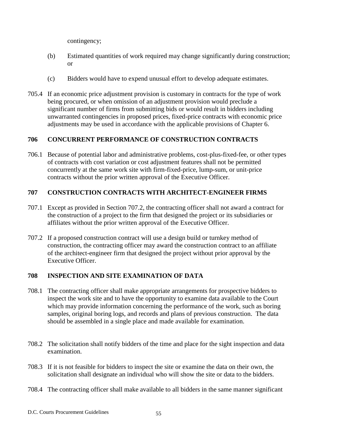contingency;

- (b) Estimated quantities of work required may change significantly during construction; or
- (c) Bidders would have to expend unusual effort to develop adequate estimates.
- 705.4 If an economic price adjustment provision is customary in contracts for the type of work being procured, or when omission of an adjustment provision would preclude a significant number of firms from submitting bids or would result in bidders including unwarranted contingencies in proposed prices, fixed-price contracts with economic price adjustments may be used in accordance with the applicable provisions of Chapter 6.

# **706 CONCURRENT PERFORMANCE OF CONSTRUCTION CONTRACTS**

706.1 Because of potential labor and administrative problems, cost-plus-fixed-fee, or other types of contracts with cost variation or cost adjustment features shall not be permitted concurrently at the same work site with firm-fixed-price, lump-sum, or unit-price contracts without the prior written approval of the Executive Officer.

# **707 CONSTRUCTION CONTRACTS WITH ARCHITECT-ENGINEER FIRMS**

- 707.1 Except as provided in Section 707.2, the contracting officer shall not award a contract for the construction of a project to the firm that designed the project or its subsidiaries or affiliates without the prior written approval of the Executive Officer.
- 707.2 If a proposed construction contract will use a design build or turnkey method of construction, the contracting officer may award the construction contract to an affiliate of the architect-engineer firm that designed the project without prior approval by the Executive Officer.

# **708 INSPECTION AND SITE EXAMINATION OF DATA**

- 708.1 The contracting officer shall make appropriate arrangements for prospective bidders to inspect the work site and to have the opportunity to examine data available to the Court which may provide information concerning the performance of the work, such as boring samples, original boring logs, and records and plans of previous construction. The data should be assembled in a single place and made available for examination.
- 708.2 The solicitation shall notify bidders of the time and place for the sight inspection and data examination.
- 708.3 If it is not feasible for bidders to inspect the site or examine the data on their own, the solicitation shall designate an individual who will show the site or data to the bidders.
- 708.4 The contracting officer shall make available to all bidders in the same manner significant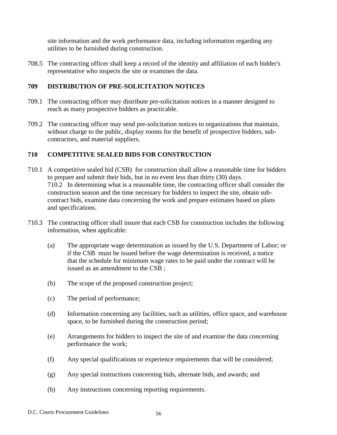site information and the work performance data, including information regarding any utilities to be furnished during construction.

708.5 The contracting officer shall keep a record of the identity and affiliation of each bidder's representative who inspects the site or examines the data.

# **709 DISTRIBUTION OF PRE-SOLICITATION NOTICES**

- 709.1 The contracting officer may distribute pre-solicitation notices in a manner designed to reach as many prospective bidders as practicable.
- 709.2 The contracting officer may send pre-solicitation notices to organizations that maintain, without charge to the public, display rooms for the benefit of prospective bidders, subcontractors, and material suppliers.

# **710 COMPETITIVE SEALED BIDS FOR CONSTRUCTION**

- 710.1 A competitive sealed bid (CSB) for construction shall allow a reasonable time for bidders to prepare and submit their bids, but in no event less than thirty (30) days. 710.2 In determining what is a reasonable time, the contracting officer shall consider the construction season and the time necessary for bidders to inspect the site, obtain subcontract bids, examine data concerning the work and prepare estimates based on plans and specifications.
- 710.3 The contracting officer shall insure that each CSB for construction includes the following information, when applicable:
	- (a) The appropriate wage determination as issued by the U.S. Department of Labor; or if the CSB must be issued before the wage determination is received, a notice that the schedule for minimum wage rates to be paid under the contract will be issued as an amendment to the CSB ;
	- (b) The scope of the proposed construction project;
	- (c) The period of performance;
	- (d) Information concerning any facilities, such as utilities, office space, and warehouse space, to be furnished during the construction period;
	- (e) Arrangements for bidders to inspect the site of and examine the data concerning performance the work;
	- (f) Any special qualifications or experience requirements that will be considered;
	- (g) Any special instructions concerning bids, alternate bids, and awards; and
	- (h) Any instructions concerning reporting requirements.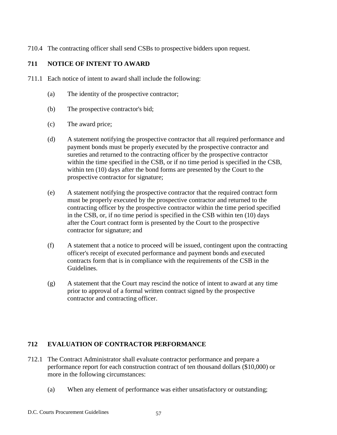710.4 The contracting officer shall send CSBs to prospective bidders upon request.

# **711 NOTICE OF INTENT TO AWARD**

- 711.1 Each notice of intent to award shall include the following:
	- (a) The identity of the prospective contractor;
	- (b) The prospective contractor's bid;
	- (c) The award price;
	- (d) A statement notifying the prospective contractor that all required performance and payment bonds must be properly executed by the prospective contractor and sureties and returned to the contracting officer by the prospective contractor within the time specified in the CSB, or if no time period is specified in the CSB, within ten (10) days after the bond forms are presented by the Court to the prospective contractor for signature;
	- (e) A statement notifying the prospective contractor that the required contract form must be properly executed by the prospective contractor and returned to the contracting officer by the prospective contractor within the time period specified in the CSB, or, if no time period is specified in the CSB within ten (10) days after the Court contract form is presented by the Court to the prospective contractor for signature; and
	- (f) A statement that a notice to proceed will be issued, contingent upon the contracting officer's receipt of executed performance and payment bonds and executed contracts form that is in compliance with the requirements of the CSB in the Guidelines.
	- (g) A statement that the Court may rescind the notice of intent to award at any time prior to approval of a formal written contract signed by the prospective contractor and contracting officer.

# **712 EVALUATION OF CONTRACTOR PERFORMANCE**

- 712.1 The Contract Administrator shall evaluate contractor performance and prepare a performance report for each construction contract of ten thousand dollars (\$10,000) or more in the following circumstances:
	- (a) When any element of performance was either unsatisfactory or outstanding;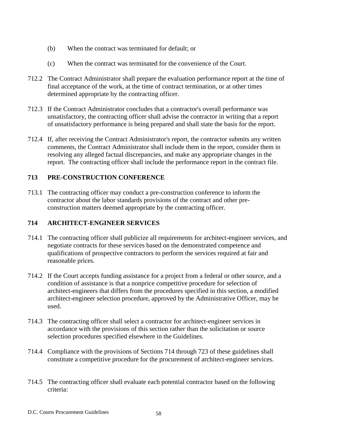- (b) When the contract was terminated for default; or
- (c) When the contract was terminated for the convenience of the Court.
- 712.2 The Contract Administrator shall prepare the evaluation performance report at the time of final acceptance of the work, at the time of contract termination, or at other times determined appropriate by the contracting officer.
- 712.3 If the Contract Administrator concludes that a contractor's overall performance was unsatisfactory, the contracting officer shall advise the contractor in writing that a report of unsatisfactory performance is being prepared and shall state the basis for the report.
- 712.4 If, after receiving the Contract Administrator's report, the contractor submits any written comments, the Contract Administrator shall include them in the report, consider them in resolving any alleged factual discrepancies, and make any appropriate changes in the report. The contracting officer shall include the performance report in the contract file.

# **713 PRE-CONSTRUCTION CONFERENCE**

713.1 The contracting officer may conduct a pre-construction conference to inform the contractor about the labor standards provisions of the contract and other preconstruction matters deemed appropriate by the contracting officer.

# **714 ARCHITECT-ENGINEER SERVICES**

- 714.1 The contracting officer shall publicize all requirements for architect-engineer services, and negotiate contracts for these services based on the demonstrated competence and qualifications of prospective contractors to perform the services required at fair and reasonable prices.
- 714.2 If the Court accepts funding assistance for a project from a federal or other source, and a condition of assistance is that a nonprice competitive procedure for selection of architect-engineers that differs from the procedures specified in this section, a modified architect-engineer selection procedure, approved by the Administrative Officer, may be used.
- 714.3 The contracting officer shall select a contractor for architect-engineer services in accordance with the provisions of this section rather than the solicitation or source selection procedures specified elsewhere in the Guidelines.
- 714.4 Compliance with the provisions of Sections 714 through 723 of these guidelines shall constitute a competitive procedure for the procurement of architect-engineer services.
- 714.5 The contracting officer shall evaluate each potential contractor based on the following criteria: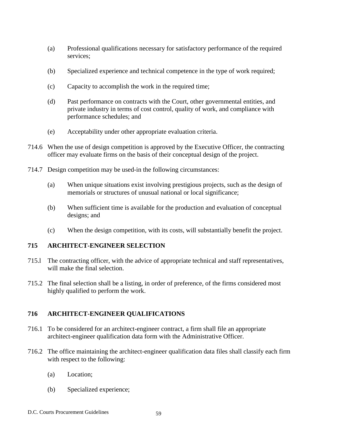- (a) Professional qualifications necessary for satisfactory performance of the required services;
- (b) Specialized experience and technical competence in the type of work required;
- (c) Capacity to accomplish the work in the required time;
- (d) Past performance on contracts with the Court, other governmental entities, and private industry in terms of cost control, quality of work, and compliance with performance schedules; and
- (e) Acceptability under other appropriate evaluation criteria.
- 714.6 When the use of design competition is approved by the Executive Officer, the contracting officer may evaluate firms on the basis of their conceptual design of the project.
- 714.7 Design competition may be used-in the following circumstances:
	- (a) When unique situations exist involving prestigious projects, such as the design of memorials or structures of unusual national or local significance;
	- (b) When sufficient time is available for the production and evaluation of conceptual designs; and
	- (c) When the design competition, with its costs, will substantially benefit the project.

# **715 ARCHITECT-ENGINEER SELECTION**

- 715.l The contracting officer, with the advice of appropriate technical and staff representatives, will make the final selection.
- 715.2 The final selection shall be a listing, in order of preference, of the firms considered most highly qualified to perform the work.

# **716 ARCHITECT-ENGINEER QUALIFICATIONS**

- 716.1 To be considered for an architect-engineer contract, a firm shall file an appropriate architect-engineer qualification data form with the Administrative Officer.
- 716.2 The office maintaining the architect-engineer qualification data files shall classify each firm with respect to the following:
	- (a) Location;
	- (b) Specialized experience;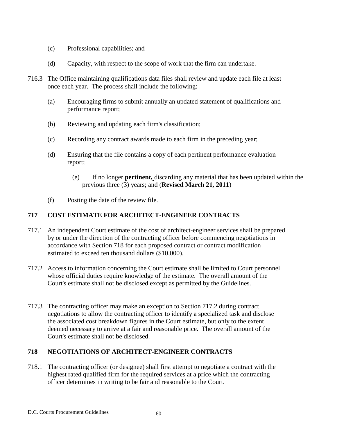- (c) Professional capabilities; and
- (d) Capacity, with respect to the scope of work that the firm can undertake.
- 716.3 The Office maintaining qualifications data files shall review and update each file at least once each year. The process shall include the following:
	- (a) Encouraging firms to submit annually an updated statement of qualifications and performance report;
	- (b) Reviewing and updating each firm's classification;
	- (c) Recording any contract awards made to each firm in the preceding year;
	- (d) Ensuring that the file contains a copy of each pertinent performance evaluation report;
		- (e) If no longer **pertinent,** discarding any material that has been updated within the previous three (3) years; and (**Revised March 21, 2011**)
	- (f) Posting the date of the review file.

# **717 COST ESTIMATE FOR ARCHITECT-ENGINEER CONTRACTS**

- 717.1 An independent Court estimate of the cost of architect-engineer services shall be prepared by or under the direction of the contracting officer before commencing negotiations in accordance with Section 718 for each proposed contract or contract modification estimated to exceed ten thousand dollars (\$10,000).
- 717.2 Access to information concerning the Court estimate shall be limited to Court personnel whose official duties require knowledge of the estimate. The overall amount of the Court's estimate shall not be disclosed except as permitted by the Guidelines.
- 717.3 The contracting officer may make an exception to Section 717.2 during contract negotiations to allow the contracting officer to identify a specialized task and disclose the associated cost breakdown figures in the Court estimate, but only to the extent deemed necessary to arrive at a fair and reasonable price. The overall amount of the Court's estimate shall not be disclosed.

# **718 NEGOTIATIONS OF ARCHITECT-ENGINEER CONTRACTS**

718.1 The contracting officer (or designee) shall first attempt to negotiate a contract with the highest rated qualified firm for the required services at a price which the contracting officer determines in writing to be fair and reasonable to the Court.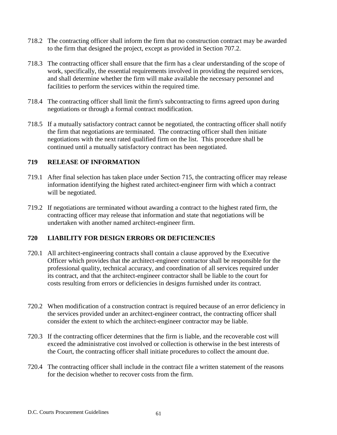- 718.2 The contracting officer shall inform the firm that no construction contract may be awarded to the firm that designed the project, except as provided in Section 707.2.
- 718.3 The contracting officer shall ensure that the firm has a clear understanding of the scope of work, specifically, the essential requirements involved in providing the required services, and shall determine whether the firm will make available the necessary personnel and facilities to perform the services within the required time.
- 718.4 The contracting officer shall limit the firm's subcontracting to firms agreed upon during negotiations or through a formal contract modification.
- 718.5 If a mutually satisfactory contract cannot be negotiated, the contracting officer shall notify the firm that negotiations are terminated. The contracting officer shall then initiate negotiations with the next rated qualified firm on the list. This procedure shall be continued until a mutually satisfactory contract has been negotiated.

# **719 RELEASE OF INFORMATION**

- 719.1 After final selection has taken place under Section 715, the contracting officer may release information identifying the highest rated architect-engineer firm with which a contract will be negotiated.
- 719.2 If negotiations are terminated without awarding a contract to the highest rated firm, the contracting officer may release that information and state that negotiations will be undertaken with another named architect-engineer firm.

#### **720 LIABILITY FOR DESIGN ERRORS OR DEFICIENCIES**

- 720.1 All architect-engineering contracts shall contain a clause approved by the Executive Officer which provides that the architect-engineer contractor shall be responsible for the professional quality, technical accuracy, and coordination of all services required under its contract, and that the architect-engineer contractor shall be liable to the court for costs resulting from errors or deficiencies in designs furnished under its contract.
- 720.2 When modification of a construction contract is required because of an error deficiency in the services provided under an architect-engineer contract, the contracting officer shall consider the extent to which the architect-engineer contractor may be liable.
- 720.3 If the contracting officer determines that the firm is liable, and the recoverable cost will exceed the administrative cost involved or collection is otherwise in the best interests of the Court, the contracting officer shall initiate procedures to collect the amount due.
- 720.4 The contracting officer shall include in the contract file a written statement of the reasons for the decision whether to recover costs from the firm.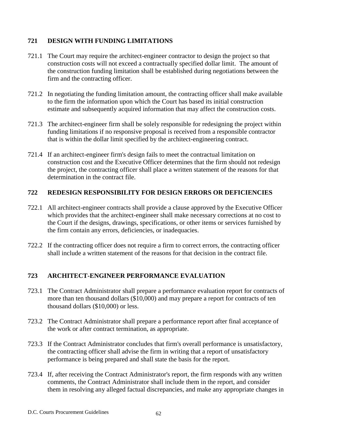# **721 DESIGN WITH FUNDING LIMITATIONS**

- 721.1 The Court may require the architect-engineer contractor to design the project so that construction costs will not exceed a contractually specified dollar limit. The amount of the construction funding limitation shall be established during negotiations between the firm and the contracting officer.
- 721.2 In negotiating the funding limitation amount, the contracting officer shall make available to the firm the information upon which the Court has based its initial construction estimate and subsequently acquired information that may affect the construction costs.
- 721.3 The architect-engineer firm shall be solely responsible for redesigning the project within funding limitations if no responsive proposal is received from a responsible contractor that is within the dollar limit specified by the architect-engineering contract.
- 721.4 If an architect-engineer firm's design fails to meet the contractual limitation on construction cost and the Executive Officer determines that the firm should not redesign the project, the contracting officer shall place a written statement of the reasons for that determination in the contract file.

### **722 REDESIGN RESPONSIBILITY FOR DESIGN ERRORS OR DEFICIENCIES**

- 722.1 All architect-engineer contracts shall provide a clause approved by the Executive Officer which provides that the architect-engineer shall make necessary corrections at no cost to the Court if the designs, drawings, specifications, or other items or services furnished by the firm contain any errors, deficiencies, or inadequacies.
- 722.2 If the contracting officer does not require a firm to correct errors, the contracting officer shall include a written statement of the reasons for that decision in the contract file.

# **723 ARCHITECT-ENGINEER PERFORMANCE EVALUATION**

- 723.1 The Contract Administrator shall prepare a performance evaluation report for contracts of more than ten thousand dollars (\$10,000) and may prepare a report for contracts of ten thousand dollars (\$10,000) or less.
- 723.2 The Contract Administrator shall prepare a performance report after final acceptance of the work or after contract termination, as appropriate.
- 723.3 If the Contract Administrator concludes that firm's overall performance is unsatisfactory, the contracting officer shall advise the firm in writing that a report of unsatisfactory performance is being prepared and shall state the basis for the report.
- 723.4 If, after receiving the Contract Administrator's report, the firm responds with any written comments, the Contract Administrator shall include them in the report, and consider them in resolving any alleged factual discrepancies, and make any appropriate changes in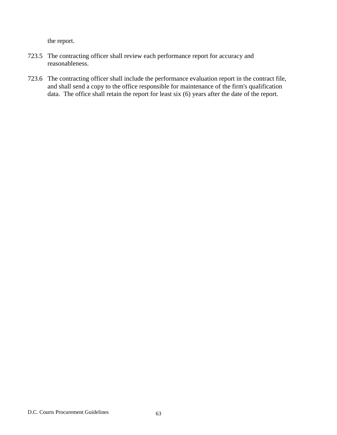the report.

- 723.5 The contracting officer shall review each performance report for accuracy and reasonableness.
- 723.6 The contracting officer shall include the performance evaluation report in the contract file, and shall send a copy to the office responsible for maintenance of the firm's qualification data. The office shall retain the report for least six (6) years after the date of the report.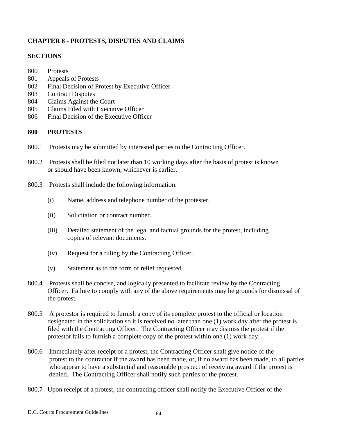# **CHAPTER 8 - PROTESTS, DISPUTES AND CLAIMS**

### **SECTIONS**

- 800 Protests
- 801 Appeals of Protests
- 802 Final Decision of Protest by Executive Officer
- 803 Contract Disputes
- 804 Claims Against the Court
- 805 Claims Filed with Executive Officer
- 806 Final Decision of the Executive Officer

# **800 PROTESTS**

- 800.1 Protests may be submitted by interested parties to the Contracting Officer.
- 800.2 Protests shall be filed not later than 10 working days after the basis of protest is known or should have been known, whichever is earlier.
- 800.3 Protests shall include the following information:
	- (i) Name, address and telephone number of the protester.
	- (ii) Solicitation or contract number.
	- (iii) Detailed statement of the legal and factual grounds for the protest, including copies of relevant documents.
	- (iv) Request for a ruling by the Contracting Officer.
	- (v) Statement as to the form of relief requested.
- 800.4 Protests shall be concise, and logically presented to facilitate review by the Contracting Officer. Failure to comply with any of the above requirements may be grounds for dismissal of the protest.
- 800.5 A protestor is required to furnish a copy of its complete protest to the official or location designated in the solicitation so it is received no later than one (1) work day after the protest is filed with the Contracting Officer. The Contracting Officer may dismiss the protest if the protestor fails to furnish a complete copy of the protest within one (1) work day.
- 800.6 Immediately after receipt of a protest, the Contracting Officer shall give notice of the protest to the contractor if the award has been made, or, if no award has been made, to all parties who appear to have a substantial and reasonable prospect of receiving award if the protest is denied. The Contracting Officer shall notify such parties of the protest.
- 800.7 Upon receipt of a protest, the contracting officer shall notify the Executive Officer of the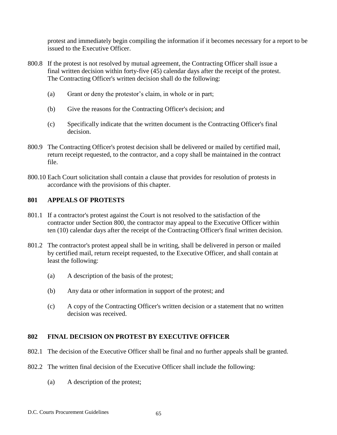protest and immediately begin compiling the information if it becomes necessary for a report to be issued to the Executive Officer.

- 800.8 If the protest is not resolved by mutual agreement, the Contracting Officer shall issue a final written decision within forty-five (45) calendar days after the receipt of the protest. The Contracting Officer's written decision shall do the following:
	- (a) Grant or deny the protestor's claim, in whole or in part;
	- (b) Give the reasons for the Contracting Officer's decision; and
	- (c) Specifically indicate that the written document is the Contracting Officer's final decision.
- 800.9 The Contracting Officer's protest decision shall be delivered or mailed by certified mail, return receipt requested, to the contractor, and a copy shall be maintained in the contract file.
- 800.10 Each Court solicitation shall contain a clause that provides for resolution of protests in accordance with the provisions of this chapter.

#### **801 APPEALS OF PROTESTS**

- 801.1 If a contractor's protest against the Court is not resolved to the satisfaction of the contractor under Section 800, the contractor may appeal to the Executive Officer within ten (10) calendar days after the receipt of the Contracting Officer's final written decision.
- 801.2 The contractor's protest appeal shall be in writing, shall be delivered in person or mailed by certified mail, return receipt requested, to the Executive Officer, and shall contain at least the following:
	- (a) A description of the basis of the protest;
	- (b) Any data or other information in support of the protest; and
	- (c) A copy of the Contracting Officer's written decision or a statement that no written decision was received.

#### **802 FINAL DECISION ON PROTEST BY EXECUTIVE OFFICER**

- 802.1 The decision of the Executive Officer shall be final and no further appeals shall be granted.
- 802.2 The written final decision of the Executive Officer shall include the following:
	- (a) A description of the protest;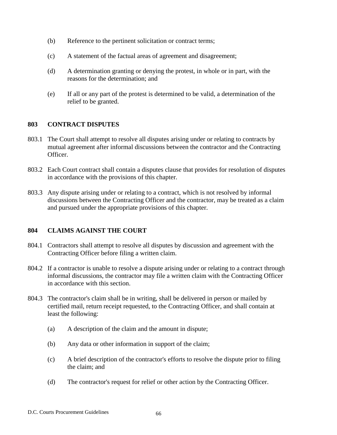- (b) Reference to the pertinent solicitation or contract terms;
- (c) A statement of the factual areas of agreement and disagreement;
- (d) A determination granting or denying the protest, in whole or in part, with the reasons for the determination; and
- (e) If all or any part of the protest is determined to be valid, a determination of the relief to be granted.

#### **803 CONTRACT DISPUTES**

- 803.1 The Court shall attempt to resolve all disputes arising under or relating to contracts by mutual agreement after informal discussions between the contractor and the Contracting Officer.
- 803.2 Each Court contract shall contain a disputes clause that provides for resolution of disputes in accordance with the provisions of this chapter.
- 803.3 Any dispute arising under or relating to a contract, which is not resolved by informal discussions between the Contracting Officer and the contractor, may be treated as a claim and pursued under the appropriate provisions of this chapter.

#### **804 CLAIMS AGAINST THE COURT**

- 804.1 Contractors shall attempt to resolve all disputes by discussion and agreement with the Contracting Officer before filing a written claim.
- 804.2 If a contractor is unable to resolve a dispute arising under or relating to a contract through informal discussions, the contractor may file a written claim with the Contracting Officer in accordance with this section.
- 804.3 The contractor's claim shall be in writing, shall be delivered in person or mailed by certified mail, return receipt requested, to the Contracting Officer, and shall contain at least the following:
	- (a) A description of the claim and the amount in dispute;
	- (b) Any data or other information in support of the claim;
	- (c) A brief description of the contractor's efforts to resolve the dispute prior to filing the claim; and
	- (d) The contractor's request for relief or other action by the Contracting Officer.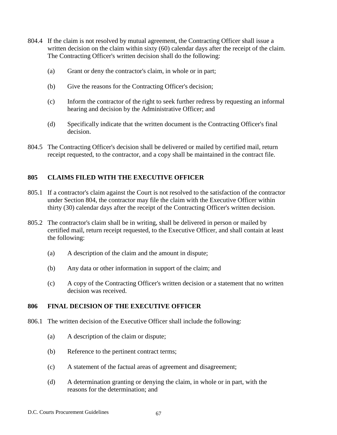- 804.4 If the claim is not resolved by mutual agreement, the Contracting Officer shall issue a written decision on the claim within sixty (60) calendar days after the receipt of the claim. The Contracting Officer's written decision shall do the following:
	- (a) Grant or deny the contractor's claim, in whole or in part;
	- (b) Give the reasons for the Contracting Officer's decision;
	- (c) Inform the contractor of the right to seek further redress by requesting an informal hearing and decision by the Administrative Officer; and
	- (d) Specifically indicate that the written document is the Contracting Officer's final decision.
- 804.5 The Contracting Officer's decision shall be delivered or mailed by certified mail, return receipt requested, to the contractor, and a copy shall be maintained in the contract file.

# **805 CLAIMS FILED WITH THE EXECUTIVE OFFICER**

- 805.1 If a contractor's claim against the Court is not resolved to the satisfaction of the contractor under Section 804, the contractor may file the claim with the Executive Officer within thirty (30) calendar days after the receipt of the Contracting Officer's written decision.
- 805.2 The contractor's claim shall be in writing, shall be delivered in person or mailed by certified mail, return receipt requested, to the Executive Officer, and shall contain at least the following:
	- (a) A description of the claim and the amount in dispute;
	- (b) Any data or other information in support of the claim; and
	- (c) A copy of the Contracting Officer's written decision or a statement that no written decision was received.

# **806 FINAL DECISION OF THE EXECUTIVE OFFICER**

- 806.1 The written decision of the Executive Officer shall include the following:
	- (a) A description of the claim or dispute;
	- (b) Reference to the pertinent contract terms;
	- (c) A statement of the factual areas of agreement and disagreement;
	- (d) A determination granting or denying the claim, in whole or in part, with the reasons for the determination; and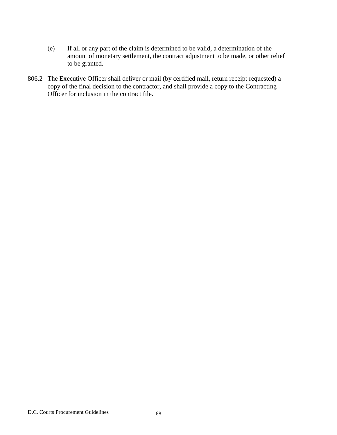- (e) If all or any part of the claim is determined to be valid, a determination of the amount of monetary settlement, the contract adjustment to be made, or other relief to be granted.
- 806.2 The Executive Officer shall deliver or mail (by certified mail, return receipt requested) a copy of the final decision to the contractor, and shall provide a copy to the Contracting Officer for inclusion in the contract file.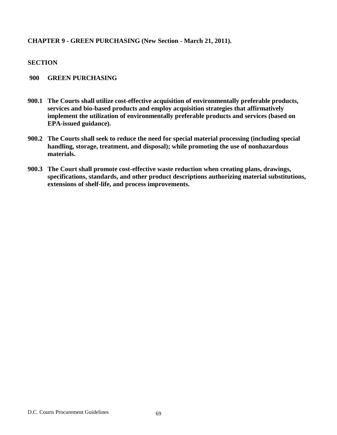### **CHAPTER 9 - GREEN PURCHASING (New Section - March 21, 2011).**

#### **SECTION**

#### **900 GREEN PURCHASING**

- **900.1 The Courts shall utilize cost-effective acquisition of environmentally preferable products, services and bio-based products and employ acquisition strategies that affirmatively implement the utilization of environmentally preferable products and services (based on EPA-issued guidance).**
- **900.2 The Courts shall seek to reduce the need for special material processing (including special handling, storage, treatment, and disposal); while promoting the use of nonhazardous materials.**
- **900.3 The Court shall promote cost-effective waste reduction when creating plans, drawings, specifications, standards, and other product descriptions authorizing material substitutions, extensions of shelf-life, and process improvements.**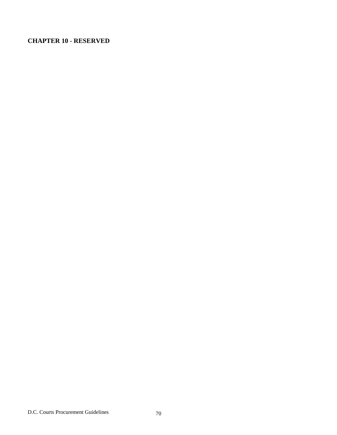# **CHAPTER 10 - RESERVED**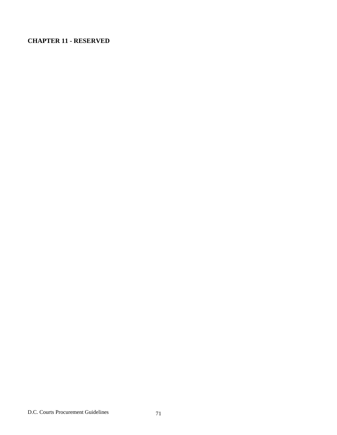# **CHAPTER 11 - RESERVED**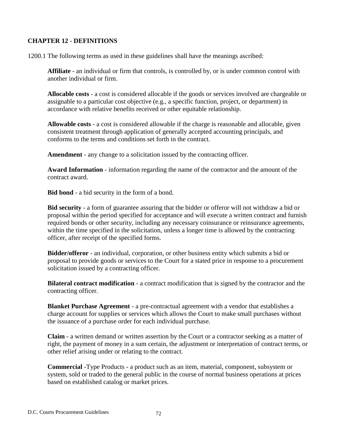## **CHAPTER 12 - DEFINITIONS**

1200.1 The following terms as used in these guidelines shall have the meanings ascribed:

**Affiliate** - an individual or firm that controls, is controlled by, or is under common control with another individual or firm.

**Allocable costs** - a cost is considered allocable if the goods or services involved are chargeable or assignable to a particular cost objective (e.g., a specific function, project, or department) in accordance with relative benefits received or other equitable relationship.

**Allowable costs** - a cost is considered allowable if the charge is reasonable and allocable, given consistent treatment through application of generally accepted accounting principals, and conforms to the terms and conditions set forth in the contract.

**Amendment** - any change to a solicitation issued by the contracting officer.

**Award Information** - information regarding the name of the contractor and the amount of the contract award.

**Bid bond** - a bid security in the form of a bond.

**Bid security** - a form of guarantee assuring that the bidder or offeror will not withdraw a bid or proposal within the period specified for acceptance and will execute a written contract and furnish required bonds or other security, including any necessary coinsurance or reinsurance agreements, within the time specified in the solicitation, unless a longer time is allowed by the contracting officer, after receipt of the specified forms.

**Bidder/offeror** - an individual, corporation, or other business entity which submits a bid or proposal to provide goods or services to the Court for a stated price in response to a procurement solicitation issued by a contracting officer.

**Bilateral contract modification** - a contract modification that is signed by the contractor and the contracting officer.

**Blanket Purchase Agreement** - a pre-contractual agreement with a vendor that establishes a charge account for supplies or services which allows the Court to make small purchases without the issuance of a purchase order for each individual purchase.

**Claim** - a written demand or written assertion by the Court or a contractor seeking as a matter of right, the payment of money in a sum certain, the adjustment or interpretation of contract terms, or other relief arising under or relating to the contract.

**Commercial** -Type Products - a product such as an item, material, component, subsystem or system, sold or traded to the general public in the course of normal business operations at prices based on established catalog or market prices.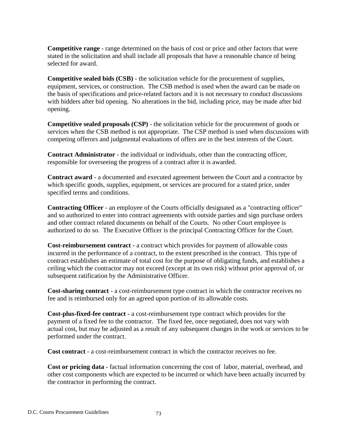**Competitive range** - range determined on the basis of cost or price and other factors that were stated in the solicitation and shall include all proposals that have a reasonable chance of being selected for award.

**Competitive sealed bids (CSB)** - the solicitation vehicle for the procurement of supplies, equipment, services, or construction. The CSB method is used when the award can be made on the basis of specifications and price-related factors and it is not necessary to conduct discussions with bidders after bid opening. No alterations in the bid, including price, may be made after bid opening.

**Competitive sealed proposals (CSP)** - the solicitation vehicle for the procurement of goods or services when the CSB method is not appropriate. The CSP method is used when discussions with competing offerors and judgmental evaluations of offers are in the best interests of the Court.

**Contract Administrator** - the individual or individuals, other than the contracting officer, responsible for overseeing the progress of a contract after it is awarded.

**Contract award** - a documented and executed agreement between the Court and a contractor by which specific goods, supplies, equipment, or services are procured for a stated price, under specified terms and conditions.

**Contracting Officer** - an employee of the Courts officially designated as a "contracting officer" and so authorized to enter into contract agreements with outside parties and sign purchase orders and other contract related documents on behalf of the Courts. No other Court employee is authorized to do so. The Executive Officer is the principal Contracting Officer for the Court.

**Cost-reimbursement contract** - a contract which provides for payment of allowable costs incurred in the performance of a contract, to the extent prescribed in the contract. This type of contract establishes an estimate of total cost for the purpose of obligating funds, and establishes a ceiling which the contractor may not exceed (except at its own risk) without prior approval of, or subsequent ratification by the Administrative Officer.

**Cost-sharing contract** - a cost-reimbursement type contract in which the contractor receives no fee and is reimbursed only for an agreed upon portion of its allowable costs.

**Cost-plus-fixed-fee contract** - a cost-reimbursement type contract which provides for the payment of a fixed fee to the contractor. The fixed fee, once negotiated, does not vary with actual cost, but may be adjusted as a result of any subsequent changes in the work or services to be performed under the contract.

**Cost contract** - a cost-reimbursement contract in which the contractor receives no fee.

**Cost or pricing data** - factual information concerning the cost of labor, material, overhead, and other cost components which are expected to be incurred or which have been actually incurred by the contractor in performing the contract.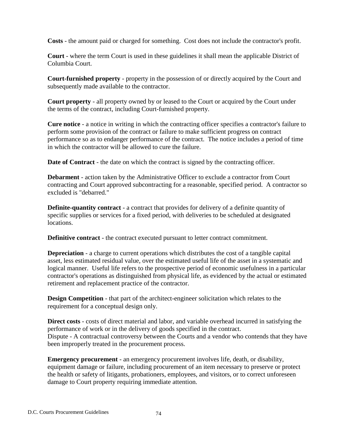**Costs** - the amount paid or charged for something. Cost does not include the contractor's profit.

**Court** - where the term Court is used in these guidelines it shall mean the applicable District of Columbia Court.

**Court-furnished property** - property in the possession of or directly acquired by the Court and subsequently made available to the contractor.

**Court property** - all property owned by or leased to the Court or acquired by the Court under the terms of the contract, including Court-furnished property.

**Cure notice** - a notice in writing in which the contracting officer specifies a contractor's failure to perform some provision of the contract or failure to make sufficient progress on contract performance so as to endanger performance of the contract. The notice includes a period of time in which the contractor will be allowed to cure the failure.

**Date of Contract** - the date on which the contract is signed by the contracting officer.

**Debarment** - action taken by the Administrative Officer to exclude a contractor from Court contracting and Court approved subcontracting for a reasonable, specified period. A contractor so excluded is "debarred."

**Definite-quantity contract** - a contract that provides for delivery of a definite quantity of specific supplies or services for a fixed period, with deliveries to be scheduled at designated locations.

**Definitive contract** - the contract executed pursuant to letter contract commitment.

**Depreciation** - a charge to current operations which distributes the cost of a tangible capital asset, less estimated residual value, over the estimated useful life of the asset in a systematic and logical manner. Useful life refers to the prospective period of economic usefulness in a particular contractor's operations as distinguished from physical life, as evidenced by the actual or estimated retirement and replacement practice of the contractor.

**Design Competition** - that part of the architect-engineer solicitation which relates to the requirement for a conceptual design only.

**Direct costs** - costs of direct material and labor, and variable overhead incurred in satisfying the performance of work or in the delivery of goods specified in the contract. Dispute - A contractual controversy between the Courts and a vendor who contends that they have been improperly treated in the procurement process.

**Emergency procurement** - an emergency procurement involves life, death, or disability, equipment damage or failure, including procurement of an item necessary to preserve or protect the health or safety of litigants, probationers, employees, and visitors, or to correct unforeseen damage to Court property requiring immediate attention.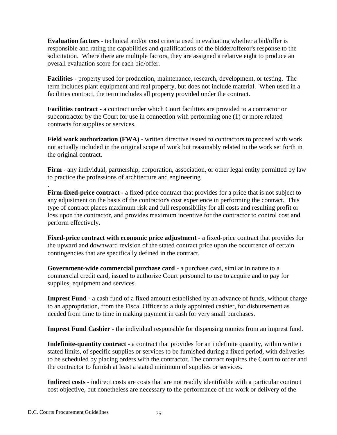**Evaluation factors** - technical and/or cost criteria used in evaluating whether a bid/offer is responsible and rating the capabilities and qualifications of the bidder/offeror's response to the solicitation. Where there are multiple factors, they are assigned a relative eight to produce an overall evaluation score for each bid/offer.

**Facilities** - property used for production, maintenance, research, development, or testing. The term includes plant equipment and real property, but does not include material. When used in a facilities contract, the term includes all property provided under the contract.

**Facilities contract** - a contract under which Court facilities are provided to a contractor or subcontractor by the Court for use in connection with performing one (1) or more related contracts for supplies or services.

**Field work authorization (FWA)** - written directive issued to contractors to proceed with work not actually included in the original scope of work but reasonably related to the work set forth in the original contract.

**Firm** - any individual, partnership, corporation, association, or other legal entity permitted by law to practice the professions of architecture and engineering

**Firm-fixed-price contract** - a fixed-price contract that provides for a price that is not subject to any adjustment on the basis of the contractor's cost experience in performing the contract. This type of contract places maximum risk and full responsibility for all costs and resulting profit or loss upon the contractor, and provides maximum incentive for the contractor to control cost and perform effectively.

**Fixed-price contract with economic price adjustment** - a fixed-price contract that provides for the upward and downward revision of the stated contract price upon the occurrence of certain contingencies that are specifically defined in the contract.

**Government-wide commercial purchase card** - a purchase card, similar in nature to a commercial credit card, issued to authorize Court personnel to use to acquire and to pay for supplies, equipment and services.

**Imprest Fund** - a cash fund of a fixed amount established by an advance of funds, without charge to an appropriation, from the Fiscal Officer to a duly appointed cashier, for disbursement as needed from time to time in making payment in cash for very small purchases.

**Imprest Fund Cashier** - the individual responsible for dispensing monies from an imprest fund.

**Indefinite-quantity contract** - a contract that provides for an indefinite quantity, within written stated limits, of specific supplies or services to be furnished during a fixed period, with deliveries to be scheduled by placing orders with the contractor. The contract requires the Court to order and the contractor to furnish at least a stated minimum of supplies or services.

**Indirect costs** - indirect costs are costs that are not readily identifiable with a particular contract cost objective, but nonetheless are necessary to the performance of the work or delivery of the

.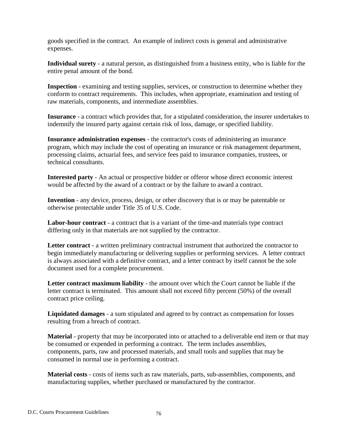goods specified in the contract. An example of indirect costs is general and administrative expenses.

**Individual surety** - a natural person, as distinguished from a business entity, who is liable for the entire penal amount of the bond.

**Inspection** - examining and testing supplies, services, or construction to determine whether they conform to contract requirements. This includes, when appropriate, examination and testing of raw materials, components, and intermediate assemblies.

**Insurance** - a contract which provides that, for a stipulated consideration, the insurer undertakes to indemnify the insured party against certain risk of loss, damage, or specified liability.

**Insurance administration expenses** - the contractor's costs of administering an insurance program, which may include the cost of operating an insurance or risk management department, processing claims, actuarial fees, and service fees paid to insurance companies, trustees, or technical consultants.

**Interested party** - An actual or prospective bidder or offeror whose direct economic interest would be affected by the award of a contract or by the failure to award a contract.

**Invention** - any device, process, design, or other discovery that is or may be patentable or otherwise protectable under Title 35 of U.S. Code.

**Labor-hour contract** - a contract that is a variant of the time-and materials type contract differing only in that materials are not supplied by the contractor.

**Letter contract** - a written preliminary contractual instrument that authorized the contractor to begin immediately manufacturing or delivering supplies or performing services. A letter contract is always associated with a definitive contract, and a letter contract by itself cannot be the sole document used for a complete procurement.

**Letter contract maximum liability** - the amount over which the Court cannot be liable if the letter contract is terminated. This amount shall not exceed fifty percent (50%) of the overall contract price ceiling.

**Liquidated damages** - a sum stipulated and agreed to by contract as compensation for losses resulting from a breach of contract.

**Material** - property that may be incorporated into or attached to a deliverable end item or that may be consumed or expended in performing a contract. The term includes assemblies, components, parts, raw and processed materials, and small tools and supplies that may be consumed in normal use in performing a contract.

**Material costs** - costs of items such as raw materials, parts, sub-assemblies, components, and manufacturing supplies, whether purchased or manufactured by the contractor.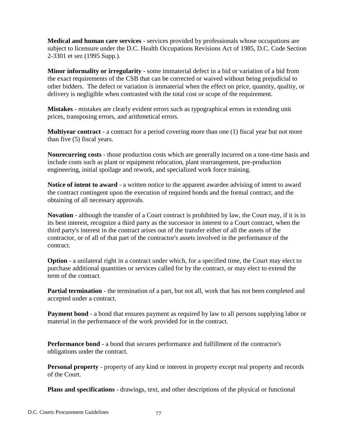**Medical and human care services** - services provided by professionals whose occupations are subject to licensure under the D.C. Health Occupations Revisions Act of 1985, D.C. Code Section 2-3301 et sez (1995 Supp.).

**Minor informality or irregularity** - some immaterial defect in a bid or variation of a bid from the exact requirements of the CSB that can be corrected or waived without being prejudicial to other bidders. The defect or variation is immaterial when the effect on price, quantity, quality, or delivery is negligible when contrasted with the total cost or scope of the requirement.

**Mistakes** - mistakes are clearly evident errors such as typographical errors in extending unit prices, transposing errors, and arithmetical errors.

**Multiyear contract** - a contract for a period covering more than one (1) fiscal year but not more than five (5) fiscal years.

**Nonrecurring costs** - those production costs which are generally incurred on a tone-time basis and include costs such as plant or equipment relocation, plant rearrangement, pre-production engineering, initial spoilage and rework, and specialized work force training.

**Notice of intent to award** - a written notice to the apparent awardee advising of intent to award the contract contingent upon the execution of required bonds and the formal contract, and the obtaining of all necessary approvals.

**Novation** - although the transfer of a Court contract is prohibited by law, the Court may, if it is in its best interest, recognize a third party as the successor in interest to a Court contract, when the third party's interest in the contract arises out of the transfer either of all the assets of the contractor, or of all of that part of the contractor's assets involved in the performance of the contract.

**Option** - a unilateral right in a contract under which, for a specified time, the Court may elect to purchase additional quantities or services called for by the contract, or may elect to extend the term of the contract.

**Partial termination** - the termination of a part, but not all, work that has not been completed and accepted under a contract.

**Payment bond** - a bond that ensures payment as required by law to all persons supplying labor or material in the performance of the work provided for in the contract.

**Performance bond** - a bond that secures performance and fulfillment of the contractor's obligations under the contract.

**Personal property** - property of any kind or interest in property except real property and records of the Court.

**Plans and specifications** - drawings, text, and other descriptions of the physical or functional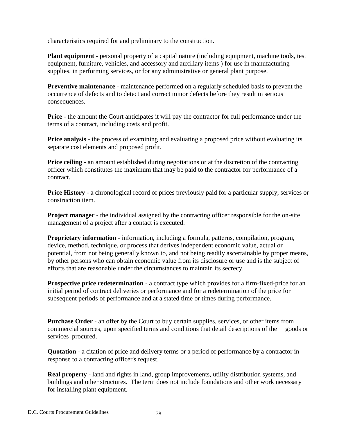characteristics required for and preliminary to the construction.

**Plant equipment** - personal property of a capital nature (including equipment, machine tools, test equipment, furniture, vehicles, and accessory and auxiliary items ) for use in manufacturing supplies, in performing services, or for any administrative or general plant purpose.

**Preventive maintenance** - maintenance performed on a regularly scheduled basis to prevent the occurrence of defects and to detect and correct minor defects before they result in serious consequences.

**Price** - the amount the Court anticipates it will pay the contractor for full performance under the terms of a contract, including costs and profit.

**Price analysis** - the process of examining and evaluating a proposed price without evaluating its separate cost elements and proposed profit.

**Price ceiling** - an amount established during negotiations or at the discretion of the contracting officer which constitutes the maximum that may be paid to the contractor for performance of a contract.

**Price History** - a chronological record of prices previously paid for a particular supply, services or construction item.

**Project manager** - the individual assigned by the contracting officer responsible for the on-site management of a project after a contact is executed.

**Proprietary information** - information, including a formula, patterns, compilation, program, device, method, technique, or process that derives independent economic value, actual or potential, from not being generally known to, and not being readily ascertainable by proper means, by other persons who can obtain economic value from its disclosure or use and is the subject of efforts that are reasonable under the circumstances to maintain its secrecy.

**Prospective price redetermination** - a contract type which provides for a firm-fixed-price for an initial period of contract deliveries or performance and for a redetermination of the price for subsequent periods of performance and at a stated time or times during performance.

**Purchase Order** - an offer by the Court to buy certain supplies, services, or other items from commercial sources, upon specified terms and conditions that detail descriptions of the goods or services procured.

**Quotation** - a citation of price and delivery terms or a period of performance by a contractor in response to a contracting officer's request.

**Real property** - land and rights in land, group improvements, utility distribution systems, and buildings and other structures. The term does not include foundations and other work necessary for installing plant equipment.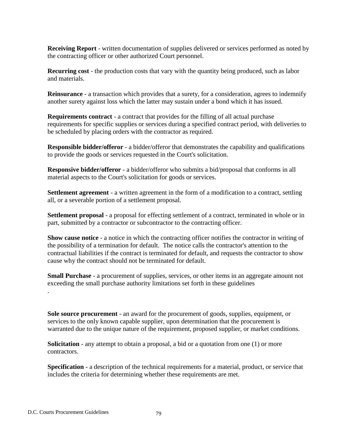**Receiving Report** - written documentation of supplies delivered or services performed as noted by the contracting officer or other authorized Court personnel.

**Recurring cost** - the production costs that vary with the quantity being produced, such as labor and materials.

**Reinsurance** - a transaction which provides that a surety, for a consideration, agrees to indemnify another surety against loss which the latter may sustain under a bond which it has issued.

**Requirements contract** - a contract that provides for the filling of all actual purchase requirements for specific supplies or services during a specified contract period, with deliveries to be scheduled by placing orders with the contractor as required.

**Responsible bidder/offeror** - a bidder/offeror that demonstrates the capability and qualifications to provide the goods or services requested in the Court's solicitation.

**Responsive bidder/offeror** - a bidder/offeror who submits a bid/proposal that conforms in all material aspects to the Court's solicitation for goods or services.

**Settlement agreement** - a written agreement in the form of a modification to a contract, settling all, or a severable portion of a settlement proposal.

**Settlement proposal** - a proposal for effecting settlement of a contract, terminated in whole or in part, submitted by a contractor or subcontractor to the contracting officer.

**Show cause notice** - a notice in which the contracting officer notifies the contractor in writing of the possibility of a termination for default. The notice calls the contractor's attention to the contractual liabilities if the contract is terminated for default, and requests the contractor to show cause why the contract should not be terminated for default.

**Small Purchase** - a procurement of supplies, services, or other items in an aggregate amount not exceeding the small purchase authority limitations set forth in these guidelines

**Sole source procurement** - an award for the procurement of goods, supplies, equipment, or services to the only known capable supplier, upon determination that the procurement is warranted due to the unique nature of the requirement, proposed supplier, or market conditions.

**Solicitation** - any attempt to obtain a proposal, a bid or a quotation from one (1) or more contractors.

**Specification** - a description of the technical requirements for a material, product, or service that includes the criteria for determining whether these requirements are met.

.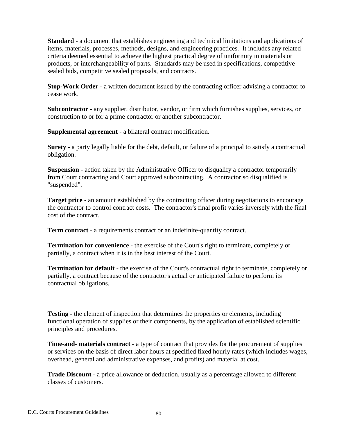**Standard** - a document that establishes engineering and technical limitations and applications of items, materials, processes, methods, designs, and engineering practices. It includes any related criteria deemed essential to achieve the highest practical degree of uniformity in materials or products, or interchangeability of parts. Standards may be used in specifications, competitive sealed bids, competitive sealed proposals, and contracts.

**Stop-Work Order** - a written document issued by the contracting officer advising a contractor to cease work.

**Subcontractor** - any supplier, distributor, vendor, or firm which furnishes supplies, services, or construction to or for a prime contractor or another subcontractor.

**Supplemental agreement** - a bilateral contract modification.

**Surety** - a party legally liable for the debt, default, or failure of a principal to satisfy a contractual obligation.

**Suspension** - action taken by the Administrative Officer to disqualify a contractor temporarily from Court contracting and Court approved subcontracting. A contractor so disqualified is "suspended".

**Target price** - an amount established by the contracting officer during negotiations to encourage the contractor to control contract costs. The contractor's final profit varies inversely with the final cost of the contract.

**Term contract** - a requirements contract or an indefinite-quantity contract.

**Termination for convenience** - the exercise of the Court's right to terminate, completely or partially, a contract when it is in the best interest of the Court.

**Termination for default** - the exercise of the Court's contractual right to terminate, completely or partially, a contract because of the contractor's actual or anticipated failure to perform its contractual obligations.

**Testing** - the element of inspection that determines the properties or elements, including functional operation of supplies or their components, by the application of established scientific principles and procedures.

**Time-and- materials contract** - a type of contract that provides for the procurement of supplies or services on the basis of direct labor hours at specified fixed hourly rates (which includes wages, overhead, general and administrative expenses, and profits) and material at cost.

**Trade Discount** - a price allowance or deduction, usually as a percentage allowed to different classes of customers.